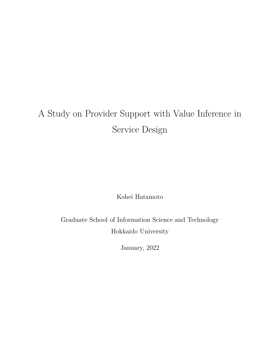# A Study on Provider Support with Value Inference in Service Design

Kohei Hatamoto

Graduate School of Information Science and Technology Hokkaido University

January, 2022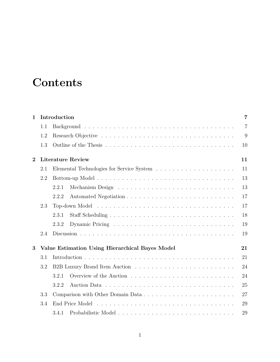# **Contents**

| $\mathbf 1$  |                                | Introduction                                    |                |  |  |  |  |  |
|--------------|--------------------------------|-------------------------------------------------|----------------|--|--|--|--|--|
|              | 1.1                            |                                                 | $\overline{7}$ |  |  |  |  |  |
|              | 1.2                            |                                                 | 9              |  |  |  |  |  |
|              | 1.3                            |                                                 | 10             |  |  |  |  |  |
| $\mathbf{2}$ | <b>Literature Review</b><br>11 |                                                 |                |  |  |  |  |  |
|              | 2.1                            |                                                 | 11             |  |  |  |  |  |
|              | 2.2                            |                                                 | 13             |  |  |  |  |  |
|              |                                | 2.2.1                                           | 13             |  |  |  |  |  |
|              |                                | 2.2.2                                           | 17             |  |  |  |  |  |
|              | 2.3                            |                                                 | 17             |  |  |  |  |  |
|              |                                | 2.3.1                                           | 18             |  |  |  |  |  |
|              |                                | 2.3.2                                           | 19             |  |  |  |  |  |
|              | 2.4                            |                                                 | 19             |  |  |  |  |  |
| 3            |                                | Value Estimation Using Hierarchical Bayes Model | 21             |  |  |  |  |  |
|              | 3.1                            |                                                 | 21             |  |  |  |  |  |
|              | 3.2                            |                                                 | 24             |  |  |  |  |  |
|              |                                | 3.2.1                                           | 24             |  |  |  |  |  |
|              |                                | 3.2.2                                           | 25             |  |  |  |  |  |
|              | 3.3                            | Comparison with Other Domain Data               | 27             |  |  |  |  |  |
|              | 3.4                            |                                                 | 29             |  |  |  |  |  |
|              |                                | 3.4.1                                           | 29             |  |  |  |  |  |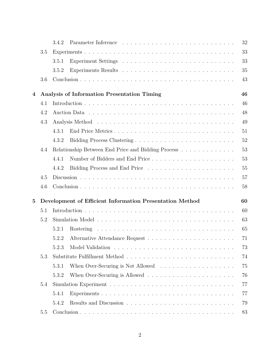|          |     | Parameter Inference entering the service of the parameter Inference entering the service of the service of the<br>3.4.2 | 32 |
|----------|-----|-------------------------------------------------------------------------------------------------------------------------|----|
|          | 3.5 |                                                                                                                         | 33 |
|          |     | 3.5.1                                                                                                                   | 33 |
|          |     | 3.5.2                                                                                                                   | 35 |
|          | 3.6 |                                                                                                                         | 43 |
| 4        |     | Analysis of Information Presentation Timing                                                                             | 46 |
|          | 4.1 |                                                                                                                         | 46 |
|          | 4.2 |                                                                                                                         | 48 |
|          | 4.3 |                                                                                                                         | 49 |
|          |     | End Price Metrics<br>4.3.1                                                                                              | 51 |
|          |     | 4.3.2                                                                                                                   | 52 |
|          | 4.4 | Relationship Between End Price and Bidding Process                                                                      | 53 |
|          |     | 4.4.1                                                                                                                   | 53 |
|          |     | 4.4.2                                                                                                                   | 55 |
|          | 4.5 |                                                                                                                         | 57 |
|          | 4.6 |                                                                                                                         | 58 |
| $\bf{5}$ |     | Development of Efficient Information Presentation Method                                                                | 60 |
|          | 5.1 |                                                                                                                         | 60 |
|          | 5.2 |                                                                                                                         | 63 |
|          |     | 5.2.1                                                                                                                   | 65 |
|          |     | 5.2.2                                                                                                                   | 71 |
|          |     | 5.2.3                                                                                                                   | 73 |
|          | 5.3 |                                                                                                                         | 74 |
|          |     | 5.3.1                                                                                                                   | 75 |
|          |     | 5.3.2                                                                                                                   | 76 |
|          | 5.4 |                                                                                                                         | 77 |
|          |     | 5.4.1                                                                                                                   | 77 |
|          |     | 5.4.2                                                                                                                   | 79 |
|          | 5.5 |                                                                                                                         | 83 |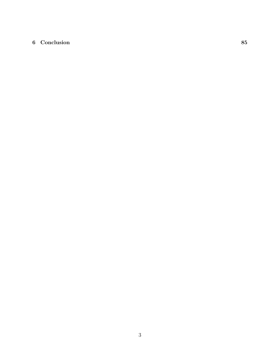### **6 Conclusion 85**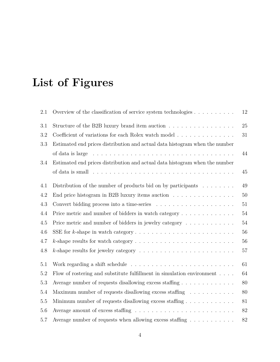# **List of Figures**

| 2.1     | Overview of the classification of service system technologies $\dots \dots \dots$                      | 12     |
|---------|--------------------------------------------------------------------------------------------------------|--------|
| 3.1     | Structure of the B2B luxury brand item auction $\ldots \ldots \ldots \ldots \ldots$                    | 25     |
| 3.2     | Coefficient of variations for each Rolex watch model                                                   | 31     |
| 3.3     | Estimated end prices distribution and actual data histogram when the number                            |        |
|         | of data is large $\ldots \ldots \ldots \ldots \ldots \ldots \ldots \ldots \ldots \ldots \ldots \ldots$ | 44     |
| $3.4\,$ | Estimated end prices distribution and actual data histogram when the number                            |        |
|         | of data is small $\ldots \ldots \ldots \ldots \ldots \ldots \ldots \ldots \ldots \ldots \ldots \ldots$ | 45     |
| 4.1     | Distribution of the number of products bid on by participants $\ldots \ldots$                          | 49     |
| 4.2     | End price histogram in B2B luxury items auction $\ldots \ldots \ldots \ldots \ldots$                   | 50     |
| 4.3     |                                                                                                        | 51     |
| 4.4     | Price metric and number of bidders in watch category                                                   | 54     |
| 4.5     | Price metric and number of bidders in jewelry category                                                 | $54\,$ |
| 4.6     |                                                                                                        | 56     |
| 4.7     |                                                                                                        | 56     |
| 4.8     | <i>k</i> -shape results for jewelry category $\ldots \ldots \ldots \ldots \ldots \ldots \ldots \ldots$ | 57     |
| 5.1     | Work regarding a shift schedule $\ldots \ldots \ldots \ldots \ldots \ldots \ldots \ldots$              | 61     |
| $5.2\,$ | Flow of rostering and substitute fulfillment in simulation environment $\ldots$ .                      | 64     |
| 5.3     | Average number of requests disallowing excess staffing                                                 | 80     |
| 5.4     | Maximum number of requests disallowing excess staffing $\dots \dots \dots$                             | 80     |
| $5.5\,$ | Minimum number of requests disallowing excess staffing $\dots \dots \dots \dots$                       | 81     |
| $5.6\,$ |                                                                                                        | $82\,$ |
| 5.7     | Average number of requests when allowing excess staffing $\dots \dots \dots$                           | $82\,$ |
|         |                                                                                                        |        |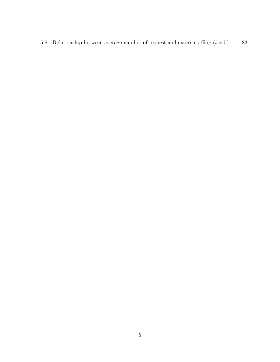5.8 Relationship between average number of request and excess staffing  $(i=5)$  . 83  $\,$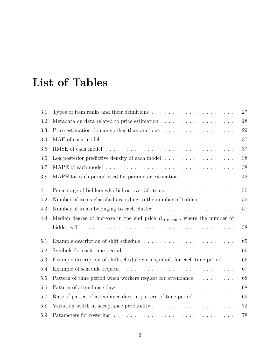# **List of Tables**

| 3.1     | Types of item ranks and their definitions $\ldots \ldots \ldots \ldots \ldots \ldots \ldots$ | 27     |
|---------|----------------------------------------------------------------------------------------------|--------|
| 3.2     |                                                                                              | 28     |
| 3.3     | Price estimation domains other than auctions $\ldots \ldots \ldots \ldots \ldots$            | 29     |
| 3.4     |                                                                                              | 37     |
| 3.5     |                                                                                              | 37     |
| 3.6     | Log posterior predictive density of each model $\dots \dots \dots \dots \dots \dots$         | 38     |
| 3.7     |                                                                                              | $38\,$ |
| 3.8     | MAPE for each period used for parameter estimation                                           | 42     |
| 4.1     | Percentage of bidders who bid on over 50 items                                               | 50     |
| 4.2     | Number of items classified according to the number of bidders $\dots \dots$                  | 55     |
| 4.3     |                                                                                              | 57     |
| 4.4     | Median degree of increase in the end price $R_{\text{increase}}$ where the number of         |        |
|         |                                                                                              | $58\,$ |
| 5.1     |                                                                                              | 65     |
| 5.2     | Symbols for each time period $\dots \dots \dots \dots \dots \dots \dots \dots \dots \dots$   | 66     |
| $5.3\,$ | Example description of shift schedule with symbols for each time period                      | 66     |
| 5.4     |                                                                                              | 67     |
| 5.5     | Pattern of time period when workers request for attendance $\dots \dots \dots$               | 68     |
| 5.6     |                                                                                              | 68     |
| 5.7     | Rate of patten of attendance days in pattern of time period $\ldots \ldots \ldots$           | 69     |
| 5.8     | Variation width in acceptance probability $\dots \dots \dots \dots \dots \dots \dots$        | 72     |
| 5.9     |                                                                                              | 78     |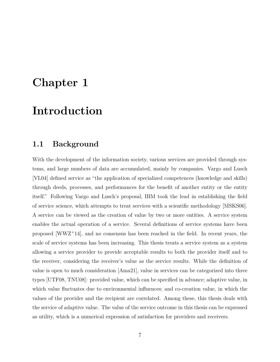## **Chapter 1**

## **Introduction**

## **1.1 Background**

With the development of the information society, various services are provided through systems, and large numbers of data are accumulated, mainly by companies. Vargo and Lusch [VL04] defined service as "the application of specialized competences (knowledge and skills) through deeds, processes, and performances for the benefit of another entity or the entity itself." Following Vargo and Lusch's proposal, IBM took the lead in establishing the field of service science, which attempts to treat services with a scientific methodology [MSKS06]. A service can be viewed as the creation of value by two or more entities. A service system enables the actual operation of a service. Several definitions of service systems have been proposed [WWZ<sup>+</sup>14], and no consensus has been reached in the field. In recent years, the scale of service systems has been increasing. This thesis treats a service system as a system allowing a service provider to provide acceptable results to both the provider itself and to the receiver, considering the receiver's value as the service results. While the definition of value is open to much consideration [Ama21], value in services can be categorized into three types [UTF08, TNU08]: provided value, which can be specified in advance; adaptive value, in which value fluctuates due to environmental influences; and co-creation value, in which the values of the provider and the recipient are correlated. Among these, this thesis deals with the service of adaptive value. The value of the service outcome in this thesis can be expressed as utility, which is a numerical expression of satisfaction for providers and receivers.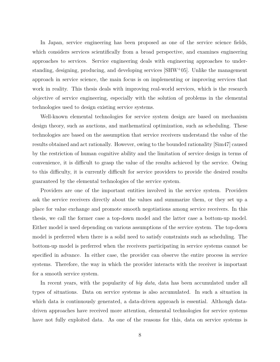In Japan, service engineering has been proposed as one of the service science fields, which considers services scientifically from a broad perspective, and examines engineering approaches to services. Service engineering deals with engineering approaches to understanding, designing, producing, and developing services [SHW<sup>+</sup>05]. Unlike the management approach in service science, the main focus is on implementing or improving services that work in reality. This thesis deals with improving real-world services, which is the research objective of service engineering, especially with the solution of problems in the elemental technologies used to design existing service systems.

Well-known elemental technologies for service system design are based on mechanism design theory, such as auctions, and mathematical optimization, such as scheduling. These technologies are based on the assumption that service receivers understand the value of the results obtained and act rationally. However, owing to the bounded rationality [Sim47] caused by the restriction of human cognitive ability and the limitation of service design in terms of convenience, it is difficult to grasp the value of the results achieved by the service. Owing to this difficulty, it is currently difficult for service providers to provide the desired results guaranteed by the elemental technologies of the service system.

Providers are one of the important entities involved in the service system. Providers ask the service receivers directly about the values and summarize them, or they set up a place for value exchange and promote smooth negotiations among service receivers. In this thesis, we call the former case a top-down model and the latter case a bottom-up model. Either model is used depending on various assumptions of the service system. The top-down model is preferred when there is a solid need to satisfy constraints such as scheduling. The bottom-up model is preferred when the receivers participating in service systems cannot be specified in advance. In either case, the provider can observe the entire process in service systems. Therefore, the way in which the provider interacts with the receiver is important for a smooth service system.

In recent years, with the popularity of *big data*, data has been accumulated under all types of situations. Data on service systems is also accumulated. In such a situation in which data is continuously generated, a data-driven approach is essential. Although datadriven approaches have received more attention, elemental technologies for service systems have not fully exploited data. As one of the reasons for this, data on service systems is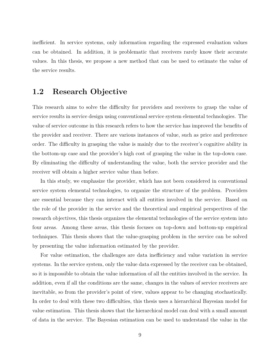inefficient. In service systems, only information regarding the expressed evaluation values can be obtained. In addition, it is problematic that receivers rarely know their accurate values. In this thesis, we propose a new method that can be used to estimate the value of the service results.

## **1.2 Research Objective**

This research aims to solve the difficulty for providers and receivers to grasp the value of service results in service design using conventional service system elemental technologies. The value of service outcome in this research refers to how the service has improved the benefits of the provider and receiver. There are various instances of value, such as price and preference order. The difficulty in grasping the value is mainly due to the receiver's cognitive ability in the bottom-up case and the provider's high cost of grasping the value in the top-down case. By eliminating the difficulty of understanding the value, both the service provider and the receiver will obtain a higher service value than before.

In this study, we emphasize the provider, which has not been considered in conventional service system elemental technologies, to organize the structure of the problem. Providers are essential because they can interact with all entities involved in the service. Based on the role of the provider in the service and the theoretical and empirical perspectives of the research objectives, this thesis organizes the elemental technologies of the service system into four areas. Among these areas, this thesis focuses on top-down and bottom-up empirical techniques. This thesis shows that the value-grasping problem in the service can be solved by presenting the value information estimated by the provider.

For value estimation, the challenges are data inefficiency and value variation in service systems. In the service system, only the value data expressed by the receiver can be obtained, so it is impossible to obtain the value information of all the entities involved in the service. In addition, even if all the conditions are the same, changes in the values of service receivers are inevitable, so from the provider's point of view, values appear to be changing stochastically. In order to deal with these two difficulties, this thesis uses a hierarchical Bayesian model for value estimation. This thesis shows that the hierarchical model can deal with a small amount of data in the service. The Bayesian estimation can be used to understand the value in the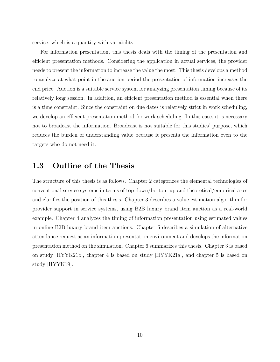service, which is a quantity with variability.

For information presentation, this thesis deals with the timing of the presentation and efficient presentation methods. Considering the application in actual services, the provider needs to present the information to increase the value the most. This thesis develops a method to analyze at what point in the auction period the presentation of information increases the end price. Auction is a suitable service system for analyzing presentation timing because of its relatively long session. In addition, an efficient presentation method is essential when there is a time constraint. Since the constraint on due dates is relatively strict in work scheduling, we develop an efficient presentation method for work scheduling. In this case, it is necessary not to broadcast the information. Broadcast is not suitable for this studies' purpose, which reduces the burden of understanding value because it presents the information even to the targets who do not need it.

## **1.3 Outline of the Thesis**

The structure of this thesis is as follows. Chapter 2 categorizes the elemental technologies of conventional service systems in terms of top-down/bottom-up and theoretical/empirical axes and clarifies the position of this thesis. Chapter 3 describes a value estimation algorithm for provider support in service systems, using B2B luxury brand item auction as a real-world example. Chapter 4 analyzes the timing of information presentation using estimated values in online B2B luxury brand item auctions. Chapter 5 describes a simulation of alternative attendance request as an information presentation environment and develops the information presentation method on the simulation. Chapter 6 summarizes this thesis. Chapter 3 is based on study [HYYK21b], chapter 4 is based on study [HYYK21a], and chapter 5 is based on study [HYYK19].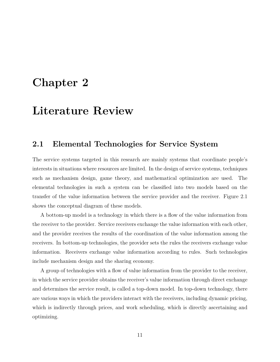## **Chapter 2**

## **Literature Review**

## **2.1 Elemental Technologies for Service System**

The service systems targeted in this research are mainly systems that coordinate people's interests in situations where resources are limited. In the design of service systems, techniques such as mechanism design, game theory, and mathematical optimization are used. The elemental technologies in such a system can be classified into two models based on the transfer of the value information between the service provider and the receiver. Figure 2.1 shows the conceptual diagram of these models.

A bottom-up model is a technology in which there is a flow of the value information from the receiver to the provider. Service receivers exchange the value information with each other, and the provider receives the results of the coordination of the value information among the receivers. In bottom-up technologies, the provider sets the rules the receivers exchange value information. Receivers exchange value information according to rules. Such technologies include mechanism design and the sharing economy.

A group of technologies with a flow of value information from the provider to the receiver, in which the service provider obtains the receiver's value information through direct exchange and determines the service result, is called a top-down model. In top-down technology, there are various ways in which the providers interact with the receivers, including dynamic pricing, which is indirectly through prices, and work scheduling, which is directly ascertaining and optimizing.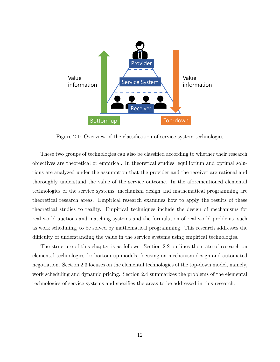

Figure 2.1: Overview of the classification of service system technologies

These two groups of technologies can also be classified according to whether their research objectives are theoretical or empirical. In theoretical studies, equilibrium and optimal solutions are analyzed under the assumption that the provider and the receiver are rational and thoroughly understand the value of the service outcome. In the aforementioned elemental technologies of the service systems, mechanism design and mathematical programming are theoretical research areas. Empirical research examines how to apply the results of these theoretical studies to reality. Empirical techniques include the design of mechanisms for real-world auctions and matching systems and the formulation of real-world problems, such as work scheduling, to be solved by mathematical programming. This research addresses the difficulty of understanding the value in the service systems using empirical technologies.

The structure of this chapter is as follows. Section 2.2 outlines the state of research on elemental technologies for bottom-up models, focusing on mechanism design and automated negotiation. Section 2.3 focuses on the elemental technologies of the top-down model, namely, work scheduling and dynamic pricing. Section 2.4 summarizes the problems of the elemental technologies of service systems and specifies the areas to be addressed in this research.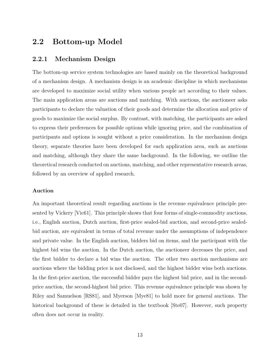## **2.2 Bottom-up Model**

#### **2.2.1 Mechanism Design**

The bottom-up service system technologies are based mainly on the theoretical background of a mechanism design. A mechanism design is an academic discipline in which mechanisms are developed to maximize social utility when various people act according to their values. The main application areas are auctions and matching. With auctions, the auctioneer asks participants to declare the valuation of their goods and determine the allocation and price of goods to maximize the social surplus. By contrast, with matching, the participants are asked to express their preferences for possible options while ignoring price, and the combination of participants and options is sought without a price consideration. In the mechanism design theory, separate theories have been developed for each application area, such as auctions and matching, although they share the same background. In the following, we outline the theoretical research conducted on auctions, matching, and other representative research areas, followed by an overview of applied research.

#### **Auction**

An important theoretical result regarding auctions is the revenue equivalence principle presented by Vickery [Vic61]. This principle shows that four forms of single-commodity auctions, i.e., English auction, Dutch auction, first-price sealed-bid auction, and second-price sealedbid auction, are equivalent in terms of total revenue under the assumptions of independence and private value. In the English auction, bidders bid on items, and the participant with the highest bid wins the auction. In the Dutch auction, the auctioneer decreases the price, and the first bidder to declare a bid wins the auction. The other two auction mechanisms are auctions where the bidding price is not disclosed, and the highest bidder wins both auctions. In the first-price auction, the successful bidder pays the highest bid price, and in the secondprice auction, the second-highest bid price. This revenue equivalence principle was shown by Riley and Samuelson [RS81], and Myerson [Mye81] to hold more for general auctions. The historical background of these is detailed in the textbook [Ste07]. However, such property often does not occur in reality.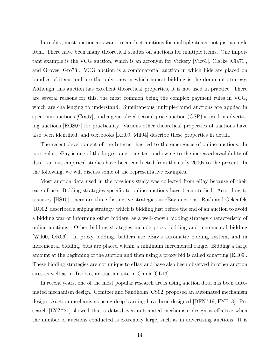In reality, most auctioneers want to conduct auctions for multiple items, not just a single item. There have been many theoretical studies on auctions for multiple items. One important example is the VCG auction, which is an acronym for Vickery [Vic61], Clarke [Cla71], and Groves [Gro73]. VCG auction is a combinatorial auction in which bids are placed on bundles of items and are the only ones in which honest bidding is the dominant strategy. Although this auction has excellent theoretical properties, it is not used in practice. There are several reasons for this, the most common being the complex payment rules in VCG, which are challenging to understand. Simultaneous multiple-round auctions are applied in spectrum auctions [Cra97], and a generalized second-price auction (GSP) is used in advertising auctions [EOS07] for practicality. Various other theoretical properties of auctions have also been identified, and textbooks [Kri09, Mil04] describe these properties in detail.

The recent development of the Internet has led to the emergence of online auctions. In particular, eBay is one of the largest auction sites, and owing to the increased availability of data, various empirical studies have been conducted from the early 2000s to the present. In the following, we will discuss some of the representative examples.

Most auction data used in the previous study was collected from eBay because of their ease of use. Bidding strategies specific to online auctions have been studied. According to a survey [HS10], there are three distinctive strategies in eBay auctions. Roth and Ockenfels [RO02] described a sniping strategy, which is bidding just before the end of an auction to avoid a bidding war or informing other bidders, as a well-known bidding strategy characteristic of online auctions. Other bidding strategies include proxy bidding and incremental bidding [Wil00, OR06]. In proxy bidding, bidders use eBay's automatic bidding system, and in incremental bidding, bids are placed within a minimum incremental range. Bidding a large amount at the beginning of the auction and then using a proxy bid is called squatting [EH09]. These bidding strategies are not unique to eBay and have also been observed in other auction sites as well as in Taobao, an auction site in China [CL13].

In recent years, one of the most popular research areas using auction data has been automated mechanism design. Conitzer and Sandholm [CS02] proposed an automated mechanism design. Auction mechanisms using deep learning have been designed [DFN<sup>+</sup>19, FNP18]. Research  $[LYZ+21]$  showed that a data-driven automated mechanism design is effective when the number of auctions conducted is extremely large, such as in advertising auctions. It is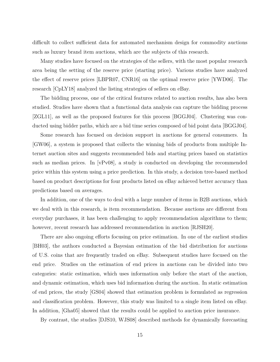difficult to collect sufficient data for automated mechanism design for commodity auctions such as luxury brand item auctions, which are the subjects of this research.

Many studies have focused on the strategies of the sellers, with the most popular research area being the setting of the reserve price (starting price). Various studies have analyzed the effect of reserve prices [LBPR07, CNR16] on the optimal reserve price [YWD06]. The research [CpLY18] analyzed the listing strategies of sellers on eBay.

The bidding process, one of the critical features related to auction results, has also been studied. Studies have shown that a functional data analysis can capture the bidding process [ZGL11], as well as the proposed features for this process [BGGJ04]. Clustering was conducted using bidder paths, which are a bid time series composed of bid point data [BGGJ04].

Some research has focused on decision support in auctions for general consumers. In [GW06], a system is proposed that collects the winning bids of products from multiple Internet auction sites and suggests recommended bids and starting prices based on statistics such as median prices. In [vPv08], a study is conducted on developing the recommended price within this system using a price prediction. In this study, a decision tree-based method based on product descriptions for four products listed on eBay achieved better accuracy than predictions based on averages.

In addition, one of the ways to deal with a large number of items in B2B auctions, which we deal with in this research, is item recommendation. Because auctions are different from everyday purchases, it has been challenging to apply recommendation algorithms to them; however, recent research has addressed recommendation in auction  $[RJSH20]$ .

There are also ongoing efforts focusing on price estimation. In one of the earliest studies [BH03], the authors conducted a Bayesian estimation of the bid distribution for auctions of U.S. coins that are frequently traded on eBay. Subsequent studies have focused on the end price. Studies on the estimation of end prices in auctions can be divided into two categories: static estimation, which uses information only before the start of the auction, and dynamic estimation, which uses bid information during the auction. In static estimation of end prices, the study [GS04] showed that estimation problem is formulated as regression and classification problem. However, this study was limited to a single item listed on eBay. In addition, [Gha05] showed that the results could be applied to auction price insurance.

By contrast, the studies [DJS10, WJS08] described methods for dynamically forecasting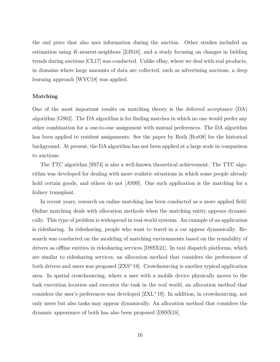the end price that also uses information during the auction. Other studies included an estimation using *K*-nearest-neighbors [ZJS10], and a study focusing on changes in bidding trends during auctions [CL17] was conducted. Unlike eBay, where we deal with real products, in domains where large amounts of data are collected, such as advertising auctions, a deep learning approach [WYC18] was applied.

#### **Matching**

One of the most important results on matching theory is the deferred acceptance (DA) algorithm [GS62]. The DA algorithm is for finding matches in which no one would prefer any other combination for a one-to-one assignment with mutual preferences. The DA algorithm has been applied to resident assignments. See the paper by Roth [Rot08] for the historical background. At present, the DA algorithm has not been applied at a large scale in comparison to auctions.

The TTC algorithm [SS74] is also a well-known theoretical achievement. The TTC algorithm was developed for dealing with more realistic situations in which some people already hold certain goods, and others do not [AS99]. One such application is the matching for a kidney transplant.

In recent years, research on online matching has been conducted as a more applied field. Online matching deals with allocation methods when the matching entity appears dynamically. This type of problem is widespread in real-world systems. An example of an application is ridesharing. In ridesharing, people who want to travel in a car appear dynamically. Research was conducted on the modeling of matching environments based on the reusability of drivers as offline entities in ridesharing services [DSSX21]. In taxi dispatch platforms, which are similar to ridesharing services, an allocation method that considers the preferences of both drivers and users was proposed [ZXS<sup>+</sup>19]. Crowdsourcing is another typical application area. In spatial crowdsourcing, where a user with a mobile device physically moves to the task execution location and executes the task in the real world, an allocation method that considers the user's preferences was developed  $[ZXL+19]$ . In addition, in crowdsourcing, not only users but also tasks may appear dynamically. An allocation method that considers the dynamic appearance of both has also been proposed [DSSX18].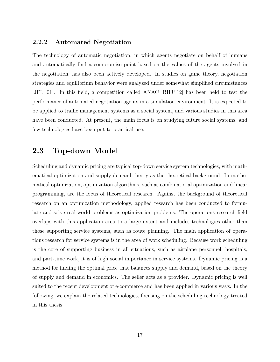### **2.2.2 Automated Negotiation**

The technology of automatic negotiation, in which agents negotiate on behalf of humans and automatically find a compromise point based on the values of the agents involved in the negotiation, has also been actively developed. In studies on game theory, negotiation strategies and equilibrium behavior were analyzed under somewhat simplified circumstances  $[JFL^+01]$ . In this field, a competition called ANAC  $[BHJ^+12]$  has been held to test the performance of automated negotiation agents in a simulation environment. It is expected to be applied to traffic management systems as a social system, and various studies in this area have been conducted. At present, the main focus is on studying future social systems, and few technologies have been put to practical use.

## **2.3 Top-down Model**

Scheduling and dynamic pricing are typical top-down service system technologies, with mathematical optimization and supply-demand theory as the theoretical background. In mathematical optimization, optimization algorithms, such as combinatorial optimization and linear programming, are the focus of theoretical research. Against the background of theoretical research on an optimization methodology, applied research has been conducted to formulate and solve real-world problems as optimization problems. The operations research field overlaps with this application area to a large extent and includes technologies other than those supporting service systems, such as route planning. The main application of operations research for service systems is in the area of work scheduling. Because work scheduling is the core of supporting business in all situations, such as airplane personnel, hospitals, and part-time work, it is of high social importance in service systems. Dynamic pricing is a method for finding the optimal price that balances supply and demand, based on the theory of supply and demand in economics. The seller acts as a provider. Dynamic pricing is well suited to the recent development of e-commerce and has been applied in various ways. In the following, we explain the related technologies, focusing on the scheduling technology treated in this thesis.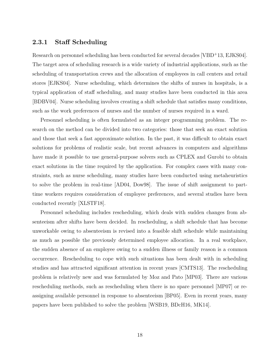#### **2.3.1 Staff Scheduling**

Research on personnel scheduling has been conducted for several decades [VBD<sup>+</sup>13, EJKS04]. The target area of scheduling research is a wide variety of industrial applications, such as the scheduling of transportation crews and the allocation of employees in call centers and retail stores [EJKS04]. Nurse scheduling, which determines the shifts of nurses in hospitals, is a typical application of staff scheduling, and many studies have been conducted in this area [BDBV04]. Nurse scheduling involves creating a shift schedule that satisfies many conditions, such as the work preferences of nurses and the number of nurses required in a ward.

Personnel scheduling is often formulated as an integer programming problem. The research on the method can be divided into two categories: those that seek an exact solution and those that seek a fast approximate solution. In the past, it was difficult to obtain exact solutions for problems of realistic scale, but recent advances in computers and algorithms have made it possible to use general-purpose solvers such as CPLEX and Gurobi to obtain exact solutions in the time required by the application. For complex cases with many constraints, such as nurse scheduling, many studies have been conducted using metaheuristics to solve the problem in real-time [AD04, Dow98]. The issue of shift assignment to parttime workers requires consideration of employee preferences, and several studies have been conducted recently [XLSTF18].

Personnel scheduling includes rescheduling, which deals with sudden changes from absenteeism after shifts have been decided. In rescheduling, a shift schedule that has become unworkable owing to absenteeism is revised into a feasible shift schedule while maintaining as much as possible the previously determined employee allocation. In a real workplace, the sudden absence of an employee owing to a sudden illness or family reason is a common occurrence. Rescheduling to cope with such situations has been dealt with in scheduling studies and has attracted significant attention in recent years [CMTS13]. The rescheduling problem is relatively new and was formulated by Moz and Pato [MP03]. There are various rescheduling methods, such as rescheduling when there is no spare personnel [MP07] or reassigning available personnel in response to absenteeism [BP05]. Even in recent years, many papers have been published to solve the problem [WSB19, BDcH16, MK14].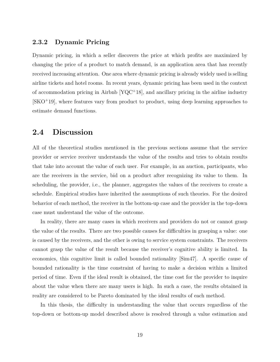#### **2.3.2 Dynamic Pricing**

Dynamic pricing, in which a seller discovers the price at which profits are maximized by changing the price of a product to match demand, is an application area that has recently received increasing attention. One area where dynamic pricing is already widely used is selling airline tickets and hotel rooms. In recent years, dynamic pricing has been used in the context of accommodation pricing in Airbnb [YQC<sup>+</sup>18], and ancillary pricing in the airline industry [SKO<sup>+</sup>19], where features vary from product to product, using deep learning approaches to estimate demand functions.

## **2.4 Discussion**

All of the theoretical studies mentioned in the previous sections assume that the service provider or service receiver understands the value of the results and tries to obtain results that take into account the value of each user. For example, in an auction, participants, who are the receivers in the service, bid on a product after recognizing its value to them. In scheduling, the provider, i.e., the planner, aggregates the values of the receivers to create a schedule. Empirical studies have inherited the assumptions of such theories. For the desired behavior of each method, the receiver in the bottom-up case and the provider in the top-down case must understand the value of the outcome.

In reality, there are many cases in which receivers and providers do not or cannot grasp the value of the results. There are two possible causes for difficulties in grasping a value: one is caused by the receivers, and the other is owing to service system constraints. The receivers cannot grasp the value of the result because the receiver's cognitive ability is limited. In economics, this cognitive limit is called bounded rationality [Sim47]. A specific cause of bounded rationality is the time constraint of having to make a decision within a limited period of time. Even if the ideal result is obtained, the time cost for the provider to inquire about the value when there are many users is high. In such a case, the results obtained in reality are considered to be Pareto dominated by the ideal results of each method.

In this thesis, the difficulty in understanding the value that occurs regardless of the top-down or bottom-up model described above is resolved through a value estimation and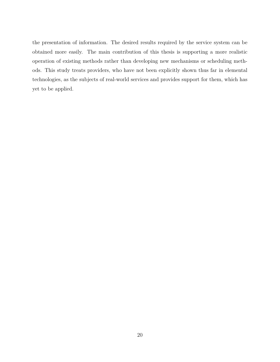the presentation of information. The desired results required by the service system can be obtained more easily. The main contribution of this thesis is supporting a more realistic operation of existing methods rather than developing new mechanisms or scheduling methods. This study treats providers, who have not been explicitly shown thus far in elemental technologies, as the subjects of real-world services and provides support for them, which has yet to be applied.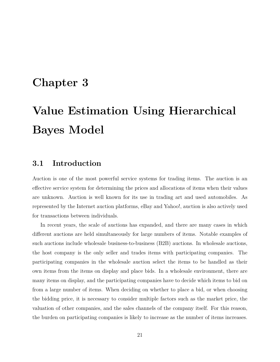## **Chapter 3**

# **Value Estimation Using Hierarchical Bayes Model**

## **3.1 Introduction**

Auction is one of the most powerful service systems for trading items. The auction is an effective service system for determining the prices and allocations of items when their values are unknown. Auction is well known for its use in trading art and used automobiles. As represented by the Internet auction platforms, eBay and Yahoo!, auction is also actively used for transactions between individuals.

In recent years, the scale of auctions has expanded, and there are many cases in which different auctions are held simultaneously for large numbers of items. Notable examples of such auctions include wholesale business-to-business (B2B) auctions. In wholesale auctions, the host company is the only seller and trades items with participating companies. The participating companies in the wholesale auction select the items to be handled as their own items from the items on display and place bids. In a wholesale environment, there are many items on display, and the participating companies have to decide which items to bid on from a large number of items. When deciding on whether to place a bid, or when choosing the bidding price, it is necessary to consider multiple factors such as the market price, the valuation of other companies, and the sales channels of the company itself. For this reason, the burden on participating companies is likely to increase as the number of items increases.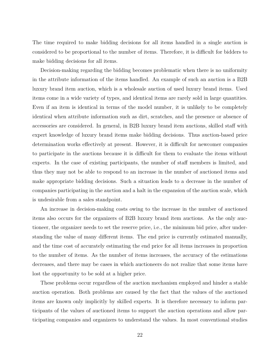The time required to make bidding decisions for all items handled in a single auction is considered to be proportional to the number of items. Therefore, it is difficult for bidders to make bidding decisions for all items.

Decision-making regarding the bidding becomes problematic when there is no uniformity in the attribute information of the items handled. An example of such an auction is a B2B luxury brand item auction, which is a wholesale auction of used luxury brand items. Used items come in a wide variety of types, and identical items are rarely sold in large quantities. Even if an item is identical in terms of the model number, it is unlikely to be completely identical when attribute information such as dirt, scratches, and the presence or absence of accessories are considered. In general, in B2B luxury brand item auctions, skilled staff with expert knowledge of luxury brand items make bidding decisions. Thus auction-based price determination works effectively at present. However, it is difficult for newcomer companies to participate in the auctions because it is difficult for them to evaluate the items without experts. In the case of existing participants, the number of staff members is limited, and thus they may not be able to respond to an increase in the number of auctioned items and make appropriate bidding decisions. Such a situation leads to a decrease in the number of companies participating in the auction and a halt in the expansion of the auction scale, which is undesirable from a sales standpoint.

An increase in decision-making costs owing to the increase in the number of auctioned items also occurs for the organizers of B2B luxury brand item auctions. As the only auctioneer, the organizer needs to set the reserve price, i.e., the minimum bid price, after understanding the value of many different items. The end price is currently estimated manually, and the time cost of accurately estimating the end price for all items increases in proportion to the number of items. As the number of items increases, the accuracy of the estimations decreases, and there may be cases in which auctioneers do not realize that some items have lost the opportunity to be sold at a higher price.

These problems occur regardless of the auction mechanism employed and hinder a stable auction operation. Both problems are caused by the fact that the values of the auctioned items are known only implicitly by skilled experts. It is therefore necessary to inform participants of the values of auctioned items to support the auction operations and allow participating companies and organizers to understand the values. In most conventional studies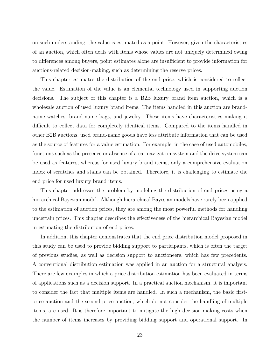on such understanding, the value is estimated as a point. However, given the characteristics of an auction, which often deals with items whose values are not uniquely determined owing to differences among buyers, point estimates alone are insufficient to provide information for auctions-related decision-making, such as determining the reserve prices.

This chapter estimates the distribution of the end price, which is considered to reflect the value. Estimation of the value is an elemental technology used in supporting auction decisions. The subject of this chapter is a B2B luxury brand item auction, which is a wholesale auction of used luxury brand items. The items handled in this auction are brandname watches, brand-name bags, and jewelry. These items have characteristics making it difficult to collect data for completely identical items. Compared to the items handled in other B2B auctions, used brand-name goods have less attribute information that can be used as the source of features for a value estimation. For example, in the case of used automobiles, functions such as the presence or absence of a car navigation system and the drive system can be used as features, whereas for used luxury brand items, only a comprehensive evaluation index of scratches and stains can be obtained. Therefore, it is challenging to estimate the end price for used luxury brand items.

This chapter addresses the problem by modeling the distribution of end prices using a hierarchical Bayesian model. Although hierarchical Bayesian models have rarely been applied to the estimation of auction prices, they are among the most powerful methods for handling uncertain prices. This chapter describes the effectiveness of the hierarchical Bayesian model in estimating the distribution of end prices.

In addition, this chapter demonstrates that the end price distribution model proposed in this study can be used to provide bidding support to participants, which is often the target of previous studies, as well as decision support to auctioneers, which has few precedents. A conventional distribution estimation was applied in an auction for a structural analysis. There are few examples in which a price distribution estimation has been evaluated in terms of applications such as a decision support. In a practical auction mechanism, it is important to consider the fact that multiple items are handled. In such a mechanism, the basic firstprice auction and the second-price auction, which do not consider the handling of multiple items, are used. It is therefore important to mitigate the high decision-making costs when the number of items increases by providing bidding support and operational support. In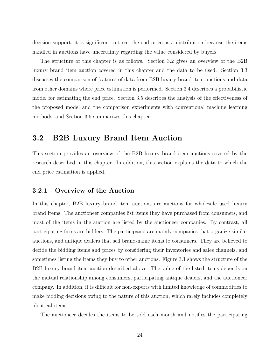decision support, it is significant to treat the end price as a distribution because the items handled in auctions have uncertainty regarding the value considered by buyers.

The structure of this chapter is as follows. Section 3.2 gives an overview of the B2B luxury brand item auction covered in this chapter and the data to be used. Section 3.3 discusses the comparison of features of data from B2B luxury brand item auctions and data from other domains where price estimation is performed. Section 3.4 describes a probabilistic model for estimating the end price. Section 3.5 describes the analysis of the effectiveness of the proposed model and the comparison experiments with conventional machine learning methods, and Section 3.6 summarizes this chapter.

## **3.2 B2B Luxury Brand Item Auction**

This section provides an overview of the B2B luxury brand item auctions covered by the research described in this chapter. In addition, this section explains the data to which the end price estimation is applied.

### **3.2.1 Overview of the Auction**

In this chapter, B2B luxury brand item auctions are auctions for wholesale used luxury brand items. The auctioneer companies list items they have purchased from consumers, and most of the items in the auction are listed by the auctioneer companies. By contrast, all participating firms are bidders. The participants are mainly companies that organize similar auctions, and antique dealers that sell brand-name items to consumers. They are believed to decide the bidding items and prices by considering their inventories and sales channels, and sometimes listing the items they buy to other auctions. Figure 3.1 shows the structure of the B2B luxury brand item auction described above. The value of the listed items depends on the mutual relationship among consumers, participating antique dealers, and the auctioneer company. In addition, it is difficult for non-experts with limited knowledge of commodities to make bidding decisions owing to the nature of this auction, which rarely includes completely identical items.

The auctioneer decides the items to be sold each month and notifies the participating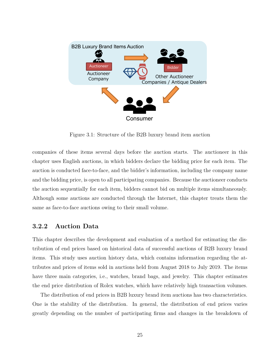

Figure 3.1: Structure of the B2B luxury brand item auction

companies of these items several days before the auction starts. The auctioneer in this chapter uses English auctions, in which bidders declare the bidding price for each item. The auction is conducted face-to-face, and the bidder's information, including the company name and the bidding price, is open to all participating companies. Because the auctioneer conducts the auction sequentially for each item, bidders cannot bid on multiple items simultaneously. Although some auctions are conducted through the Internet, this chapter treats them the same as face-to-face auctions owing to their small volume.

#### **3.2.2 Auction Data**

This chapter describes the development and evaluation of a method for estimating the distribution of end prices based on historical data of successful auctions of B2B luxury brand items. This study uses auction history data, which contains information regarding the attributes and prices of items sold in auctions held from August 2018 to July 2019. The items have three main categories, i.e., watches, brand bags, and jewelry. This chapter estimates the end price distribution of Rolex watches, which have relatively high transaction volumes.

The distribution of end prices in B2B luxury brand item auctions has two characteristics. One is the stability of the distribution. In general, the distribution of end prices varies greatly depending on the number of participating firms and changes in the breakdown of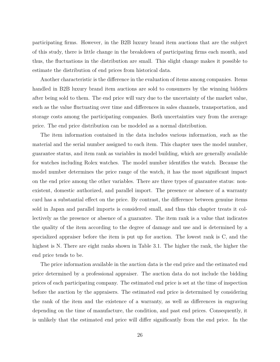participating firms. However, in the B2B luxury brand item auctions that are the subject of this study, there is little change in the breakdown of participating firms each month, and thus, the fluctuations in the distribution are small. This slight change makes it possible to estimate the distribution of end prices from historical data.

Another characteristic is the difference in the evaluation of items among companies. Items handled in B2B luxury brand item auctions are sold to consumers by the winning bidders after being sold to them. The end price will vary due to the uncertainty of the market value, such as the value fluctuating over time and differences in sales channels, transportation, and storage costs among the participating companies. Both uncertainties vary from the average price. The end price distribution can be modeled as a normal distribution.

The item information contained in the data includes various information, such as the material and the serial number assigned to each item. This chapter uses the model number, guarantee status, and item rank as variables in model building, which are generally available for watches including Rolex watches. The model number identifies the watch. Because the model number determines the price range of the watch, it has the most significant impact on the end price among the other variables. There are three types of guarantee status: nonexistent, domestic authorized, and parallel import. The presence or absence of a warranty card has a substantial effect on the price. By contrast, the difference between genuine items sold in Japan and parallel imports is considered small, and thus this chapter treats it collectively as the presence or absence of a guarantee. The item rank is a value that indicates the quality of the item according to the degree of damage and use and is determined by a specialized appraiser before the item is put up for auction. The lowest rank is C, and the highest is N. There are eight ranks shown in Table 3.1. The higher the rank, the higher the end price tends to be.

The price information available in the auction data is the end price and the estimated end price determined by a professional appraiser. The auction data do not include the bidding prices of each participating company. The estimated end price is set at the time of inspection before the auction by the appraisers. The estimated end price is determined by considering the rank of the item and the existence of a warranty, as well as differences in engraving depending on the time of manufacture, the condition, and past end prices. Consequently, it is unlikely that the estimated end price will differ significantly from the end price. In the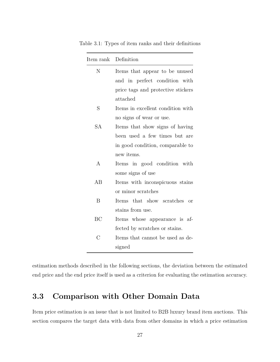|           | Item rank Definition                     |  |  |  |  |
|-----------|------------------------------------------|--|--|--|--|
| N         | Items that appear to be unused           |  |  |  |  |
|           | and in perfect condition with            |  |  |  |  |
|           | price tags and protective stickers       |  |  |  |  |
|           | attached                                 |  |  |  |  |
| S         | Items in excellent condition with        |  |  |  |  |
|           | no signs of wear or use.                 |  |  |  |  |
| SА        | Items that show signs of having          |  |  |  |  |
|           | been used a few times but are            |  |  |  |  |
|           | in good condition, comparable to         |  |  |  |  |
|           | new items.                               |  |  |  |  |
| A         | Items in good condition with             |  |  |  |  |
|           | some signs of use                        |  |  |  |  |
| AB        | Items with inconspicuous stains          |  |  |  |  |
|           | or minor scratches                       |  |  |  |  |
| B         | that show scratches<br>Items<br>$\alpha$ |  |  |  |  |
|           | stains from use.                         |  |  |  |  |
| BC        | Items whose appearance is af-            |  |  |  |  |
|           | fected by scratches or stains.           |  |  |  |  |
| $\bigcap$ | Items that cannot be used as de-         |  |  |  |  |
|           | signed                                   |  |  |  |  |

Table 3.1: Types of item ranks and their definitions

estimation methods described in the following sections, the deviation between the estimated end price and the end price itself is used as a criterion for evaluating the estimation accuracy.

## **3.3 Comparison with Other Domain Data**

 $\overline{a}$ 

Item price estimation is an issue that is not limited to B2B luxury brand item auctions. This section compares the target data with data from other domains in which a price estimation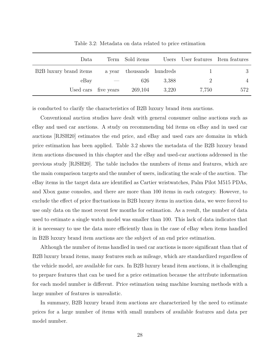| Data                   | Term Sold items           |       | Users User features Item features |     |
|------------------------|---------------------------|-------|-----------------------------------|-----|
| B2B luxury brand items | a year thousands hundreds |       | $\mathbf{I}$                      |     |
| eBay                   | 626                       | 3.388 | $\mathbf{2}$                      |     |
| Used cars five years   | 269,104                   | 3.220 | 7,750                             | 572 |

Table 3.2: Metadata on data related to price estimation

is conducted to clarify the characteristics of B2B luxury brand item auctions.

Conventional auction studies have dealt with general consumer online auctions such as eBay and used car auctions. A study on recommending bid items on eBay and in used car auctions [RJSH20] estimates the end price, and eBay and used cars are domains in which price estimation has been applied. Table 3.2 shows the metadata of the B2B luxury brand item auctions discussed in this chapter and the eBay and used-car auctions addressed in the previous study [RJSH20]. The table includes the numbers of items and features, which are the main comparison targets and the number of users, indicating the scale of the auction. The eBay items in the target data are identified as Cartier wristwatches, Palm Pilot M515 PDAs, and Xbox game consoles, and there are more than 100 items in each category. However, to exclude the effect of price fluctuations in B2B luxury items in auction data, we were forced to use only data on the most recent few months for estimation. As a result, the number of data used to estimate a single watch model was smaller than 100. This lack of data indicates that it is necessary to use the data more efficiently than in the case of eBay when items handled in B2B luxury brand item auctions are the subject of an end price estimation.

Although the number of items handled in used car auctions is more significant than that of B2B luxury brand items, many features such as mileage, which are standardized regardless of the vehicle model, are available for cars. In B2B luxury brand item auctions, it is challenging to prepare features that can be used for a price estimation because the attribute information for each model number is different. Price estimation using machine learning methods with a large number of features is unrealistic.

In summary, B2B luxury brand item auctions are characterized by the need to estimate prices for a large number of items with small numbers of available features and data per model number.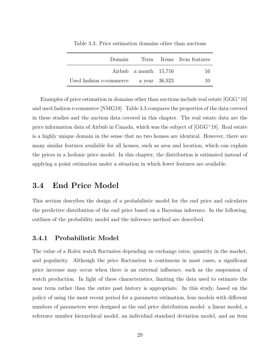| Domain                  |                         |               | Term Items Item features |
|-------------------------|-------------------------|---------------|--------------------------|
|                         | Airbnb a month $15,716$ |               | 16                       |
| Used fashion e-commerce |                         | a year 36,923 | 10                       |

Table 3.3: Price estimation domains other than auctions

Examples of price estimation in domains other than auctions include real estate [GGG<sup>+</sup>18] and used fashion e-commerce [NMG19]. Table 3.3 compares the properties of the data covered in these studies and the auction data covered in this chapter. The real estate data are the price information data of Airbnb in Canada, which was the subject of [GGG<sup>+</sup>18]. Real estate is a highly unique domain in the sense that no two houses are identical. However, there are many similar features available for all houses, such as area and location, which can explain the prices in a hedonic price model. In this chapter, the distribution is estimated instead of applying a point estimation under a situation in which fewer features are available.

### **3.4 End Price Model**

This section describes the design of a probabilistic model for the end price and calculates the predictive distribution of the end price based on a Bayesian inference. In the following, outlines of the probability model and the inference method are described.

#### **3.4.1 Probabilistic Model**

The value of a Rolex watch fluctuates depending on exchange rates, quantity in the market, and popularity. Although the price fluctuation is continuous in most cases, a significant price increase may occur when there is an external influence, such as the suspension of watch production. In light of these characteristics, limiting the data used to estimate the near term rather than the entire past history is appropriate. In this study, based on the policy of using the most recent period for a parameter estimation, four models with different numbers of parameters were designed as the end price distribution model: a linear model, a reference number hierarchical model, an individual standard deviation model, and an item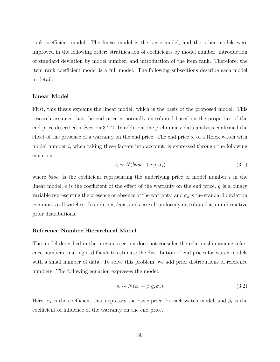rank coefficient model. The linear model is the basic model, and the other models were improved in the following order: stratification of coefficients by model number, introduction of standard deviation by model number, and introduction of the item rank. Therefore, the item rank coefficient model is a full model. The following subsections describe each model in detail.

#### **Linear Model**

First, this thesis explains the linear model, which is the basis of the proposed model. This research assumes that the end price is normally distributed based on the properties of the end price described in Section 3.2.2. In addition, the preliminary data analysis confirmed the effect of the presence of a warranty on the end price. The end price *s<sup>i</sup>* of a Rolex watch with model number *i*, when taking these factors into account, is expressed through the following equation.

$$
s_i \sim N(base_i + eg, \sigma_s) \tag{3.1}
$$

where  $base_i$  is the coefficient representing the underlying price of model number  $i$  in the linear model, *e* is the coefficient of the effect of the warranty on the end price, *g* is a binary variable representing the presence or absence of the warranty, and  $\sigma_s$  is the standard deviation common to all watches. In addition, *base<sup>i</sup>* and *e* are all uniformly distributed as uninformative prior distributions.

#### **Reference Number Hierarchical Model**

The model described in the previous section does not consider the relationship among reference numbers, making it difficult to estimate the distribution of end prices for watch models with a small number of data. To solve this problem, we add prior distributions of reference numbers. The following equation expresses the model.

$$
s_i \sim N(\alpha_i + \beta_i g, \sigma_s) \tag{3.2}
$$

Here,  $\alpha_i$  is the coefficient that expresses the basic price for each watch model, and  $\beta_i$  is the coefficient of influence of the warranty on the end price.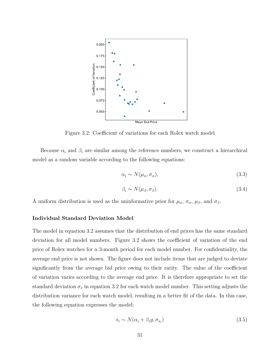

Figure 3.2: Coefficient of variations for each Rolex watch model

Because  $\alpha_i$  and  $\beta_i$  are similar among the reference numbers, we construct a hierarchical model as a random variable according to the following equations:

$$
\alpha_i \sim N(\mu_\alpha, \sigma_\alpha),\tag{3.3}
$$

$$
\beta_i \sim N(\mu_\beta, \sigma_\beta). \tag{3.4}
$$

A uniform distribution is used as the uninformative prior for  $\mu_{\alpha}$ ,  $\sigma_{\alpha}$ ,  $\mu_{\beta}$ , and  $\sigma_{\beta}$ .

#### **Individual Standard Deviation Model**

The model in equation 3.2 assumes that the distribution of end prices has the same standard deviation for all model numbers. Figure 3.2 shows the coefficient of variation of the end price of Rolex watches for a 3-month period for each model number. For confidentiality, the average end price is not shown. The figure does not include items that are judged to deviate significantly from the average bid price owing to their rarity. The value of the coefficient of variation varies according to the average end price. It is therefore appropriate to set the standard deviation  $\sigma_s$  in equation 3.2 for each watch model number. This setting adjusts the distribution variance for each watch model, resulting in a better fit of the data. In this case, the following equation expresses the model:

$$
s_i \sim N(\alpha_i + \beta_i g, \sigma_{s_i})
$$
\n
$$
(3.5)
$$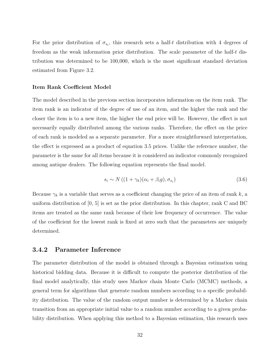For the prior distribution of  $\sigma_{s_i}$ , this research sets a half-*t* distribution with 4 degrees of freedom as the weak information prior distribution. The scale parameter of the half-*t* distribution was determined to be 100,000, which is the most significant standard deviation estimated from Figure 3.2.

#### **Item Rank Coefficient Model**

The model described in the previous section incorporates information on the item rank. The item rank is an indicator of the degree of use of an item, and the higher the rank and the closer the item is to a new item, the higher the end price will be. However, the effect is not necessarily equally distributed among the various ranks. Therefore, the effect on the price of each rank is modeled as a separate parameter. For a more straightforward interpretation, the effect is expressed as a product of equation 3.5 prices. Unlike the reference number, the parameter is the same for all items because it is considered an indicator commonly recognized among antique dealers. The following equation represents the final model.

$$
s_i \sim N\left( (1 + \gamma_k)(\alpha_i + \beta_i g), \sigma_{s_i} \right) \tag{3.6}
$$

Because  $\gamma_k$  is a variable that serves as a coefficient changing the price of an item of rank  $k$ , a uniform distribution of [0, 5] is set as the prior distribution. In this chapter, rank C and BC items are treated as the same rank because of their low frequency of occurrence. The value of the coefficient for the lowest rank is fixed at zero such that the parameters are uniquely determined.

#### **3.4.2 Parameter Inference**

The parameter distribution of the model is obtained through a Bayesian estimation using historical bidding data. Because it is difficult to compute the posterior distribution of the final model analytically, this study uses Markov chain Monte Carlo (MCMC) methods, a general term for algorithms that generate random numbers according to a specific probability distribution. The value of the random output number is determined by a Markov chain transition from an appropriate initial value to a random number according to a given probability distribution. When applying this method to a Bayesian estimation, this research uses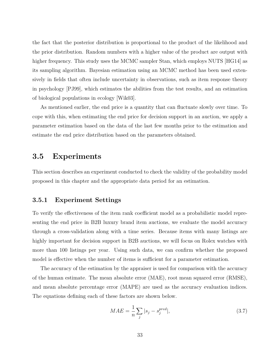the fact that the posterior distribution is proportional to the product of the likelihood and the prior distribution. Random numbers with a higher value of the product are output with higher frequency. This study uses the MCMC sampler Stan, which employs NUTS [HG14] as its sampling algorithm. Bayesian estimation using an MCMC method has been used extensively in fields that often include uncertainty in observations, such as item response theory in psychology [PJ99], which estimates the abilities from the test results, and an estimation of biological populations in ecology [Wik03].

As mentioned earlier, the end price is a quantity that can fluctuate slowly over time. To cope with this, when estimating the end price for decision support in an auction, we apply a parameter estimation based on the data of the last few months prior to the estimation and estimate the end price distribution based on the parameters obtained.

## **3.5 Experiments**

This section describes an experiment conducted to check the validity of the probability model proposed in this chapter and the appropriate data period for an estimation.

#### **3.5.1 Experiment Settings**

To verify the effectiveness of the item rank coefficient model as a probabilistic model representing the end price in B2B luxury brand item auctions, we evaluate the model accuracy through a cross-validation along with a time series. Because items with many listings are highly important for decision support in B2B auctions, we will focus on Rolex watches with more than 100 listings per year. Using such data, we can confirm whether the proposed model is effective when the number of items is sufficient for a parameter estimation.

The accuracy of the estimation by the appraiser is used for comparison with the accuracy of the human estimate. The mean absolute error (MAE), root mean squared error (RMSE), and mean absolute percentage error (MAPE) are used as the accuracy evaluation indices. The equations defining each of these factors are shown below.

$$
MAE = \frac{1}{n} \sum_{j} |s_j - s_j^{pred}|,\tag{3.7}
$$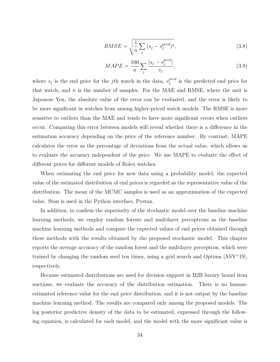$$
RMSE = \sqrt{\frac{1}{n} \sum_{j} (s_j - s_j^{pred})^2},\tag{3.8}
$$

$$
MAPE = \frac{100}{n} \sum_{j} \frac{|s_j - s_j^{pred}|}{s_j},
$$
\n(3.9)

where  $s_j$  is the end price for the *j*th watch in the data,  $s_j^{pred}$ *j* is the predicted end price for that watch, and *n* is the number of samples. For the MAE and RMSE, where the unit is Japanese Yen, the absolute value of the error can be evaluated, and the error is likely to be more significant in watches from among higher-priced watch models. The RMSE is more sensitive to outliers than the MAE and tends to have more significant errors when outliers occur. Comparing this error between models will reveal whether there is a difference in the estimation accuracy depending on the price of the reference number. By contrast, MAPE calculates the error as the percentage of deviations from the actual value, which allows us to evaluate the accuracy independent of the price. We use MAPE to evaluate the effect of different prices for different models of Rolex watches.

When estimating the end price for new data using a probability model, the expected value of the estimated distribution of end prices is regarded as the representative value of the distribution. The mean of the MCMC samples is used as an approximation of the expected value. Stan is used in the Python interface, Pystan.

In addition, to confirm the superiority of the stochastic model over the baseline machine learning methods, we employ random forests and multilayer perceptrons as the baseline machine learning methods and compare the expected values of end prices obtained through these methods with the results obtained by the proposed stochastic model. This chapter reports the average accuracy of the random forest and the multilayer perceptron, which were trained by changing the random seed ten times, using a grid search and Optuna  $[ASY^+19]$ , respectively.

Because estimated distributions are used for decision support in B2B luxury brand item auctions, we evaluate the accuracy of the distribution estimation. There is no humanestimated reference value for the end price distribution, and it is not output by the baseline machine learning method. The results are compared only among the proposed models. The log posterior predictive density of the data to be estimated, expressed through the following equation, is calculated for each model, and the model with the more significant value is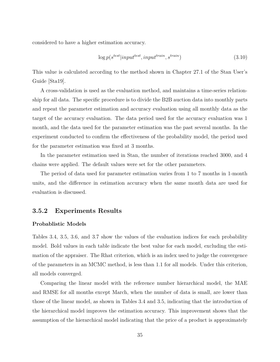considered to have a higher estimation accuracy.

$$
\log p(s^{test}|input^{test}, input^{train}, s^{train}) \tag{3.10}
$$

This value is calculated according to the method shown in Chapter 27.1 of the Stan User's Guide [Sta19].

A cross-validation is used as the evaluation method, and maintains a time-series relationship for all data. The specific procedure is to divide the B2B auction data into monthly parts and repeat the parameter estimation and accuracy evaluation using all monthly data as the target of the accuracy evaluation. The data period used for the accuracy evaluation was 1 month, and the data used for the parameter estimation was the past several months. In the experiment conducted to confirm the effectiveness of the probability model, the period used for the parameter estimation was fixed at 3 months.

In the parameter estimation used in Stan, the number of iterations reached 3000, and 4 chains were applied. The default values were set for the other parameters.

The period of data used for parameter estimation varies from 1 to 7 months in 1-month units, and the difference in estimation accuracy when the same month data are used for evaluation is discussed.

#### **3.5.2 Experiments Results**

#### **Probablistic Models**

Tables 3.4, 3.5, 3.6, and 3.7 show the values of the evaluation indices for each probability model. Bold values in each table indicate the best value for each model, excluding the estimation of the appraiser. The Rhat criterion, which is an index used to judge the convergence of the parameters in an MCMC method, is less than 1.1 for all models. Under this criterion, all models converged.

Comparing the linear model with the reference number hierarchical model, the MAE and RMSE for all months except March, when the number of data is small, are lower than those of the linear model, as shown in Tables 3.4 and 3.5, indicating that the introduction of the hierarchical model improves the estimation accuracy. This improvement shows that the assumption of the hierarchical model indicating that the price of a product is approximately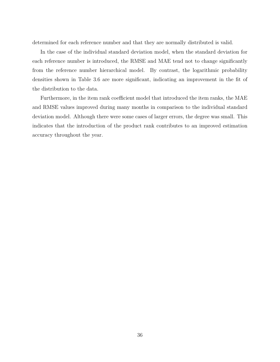determined for each reference number and that they are normally distributed is valid.

In the case of the individual standard deviation model, when the standard deviation for each reference number is introduced, the RMSE and MAE tend not to change significantly from the reference number hierarchical model. By contrast, the logarithmic probability densities shown in Table 3.6 are more significant, indicating an improvement in the fit of the distribution to the data.

Furthermore, in the item rank coefficient model that introduced the item ranks, the MAE and RMSE values improved during many months in comparison to the individual standard deviation model. Although there were some cases of larger errors, the degree was small. This indicates that the introduction of the product rank contributes to an improved estimation accuracy throughout the year.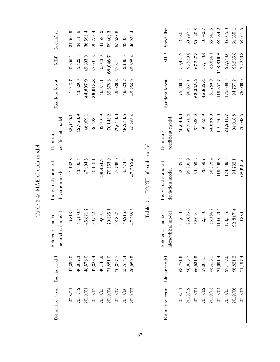| Estimation term | Linear model | al model<br>Reference number<br>hierarchic | Individual standard<br>deviation model | coefficient model<br>Item rank | Random forest | MLP          | Specialist |
|-----------------|--------------|--------------------------------------------|----------------------------------------|--------------------------------|---------------|--------------|------------|
| 2018/11         | 42,356.0     | 40,813.6                                   | 41,132.8                               | 38,419.1                       | 41,948.7      | 40,306.1     | 31,090.9   |
| $2018/12$       | 46,017.3     | 44,100.4                                   | 43,900.4                               | 42,753.9                       | 43,529.9      | 45,422.8     | 34,115.9   |
| 2019/01         | 48,578.0     | 45,821.7                                   | 47,094.5                               | 46,009.1                       | 44,807.9      | 49,303.0     | 36,598.4   |
| $2019/02$       | 42,323.4     | 39,552.5                                   | 40,140.1                               | 36,528.1                       | 36,013.8      | 38,091.3     | 29,753.4   |
| $2019/03$       | 40,148.9     | 39,691.5                                   | 39,451.7                               | 39,916.9                       | 46,977.1      | 40,043.0     | 41,588.2   |
| $2019/04$       | 71,881.0     | 70,325.1                                   | 70,553.9                               | 70,143.2                       | 69,678.8      | 69,046.7     | 59,408.3   |
| 2019/05         | 70,387.8     | 68,867.9                                   | 68,766.0                               | 67,619.9                       | 69,036.3      | 68,311.1     | 55,538.6   |
| 2019/06         | 53,514.4     | 49,216.0                                   | 50,474.5                               | 48,973.5                       | 49,623.2      | 52,186.6     | 39,036.1   |
| 2019/07         | 50,089.5     | 47,268.5                                   | 47,202.4                               | 48,263.4                       | 49,256.9      | 49,828.4     | 40,259.4   |
|                 |              |                                            |                                        |                                |               |              |            |
| Estimation term | Linear model | Reference number                           | Individual standard                    | Item rank                      | Random forest | $\text{MLP}$ | Specialist |
|                 |              | al model<br>hierarchic                     | deviation model                        | coefficient model              |               |              |            |
| 2018/11         | 63,781.6     | 61,650.6                                   | 62,935.2                               | 56,040.0                       | 75,260.2      | 59,434.2     | 42,680.1   |
| $2018/12$       | 96,815.7     | 95,626.0                                   | 95,230.9                               | 93,751.4                       | 96,067.1      | 95,548.8     | 50,797.4   |
| 2019/01         | 66,931.5     | 62,924.4                                   | 64,399.3                               | 62,899.2                       | 62,335.2      | 67,227.3     | 50,420.8   |
| $2019/02$       | 57,013.1     | 52,530.3                                   | 53,059.7                               | 50,553.9                       | 48,842.4      | 52,783.4     | 40,092.7   |
| 2019/03         | 55,413.1     | 56,184.2                                   | 56,318.4                               | 54,698.9                       | 81,780.9      | 56,654.1     | 55,541.5   |
| 2019/04         | 121,091.4    | 119,026.5                                  | 119,596.8                              | 119,480.9                      | 119,357.7     | 118,819.8    | 88,684.2   |
| 2019/05         | 127,172.0    | 123,536.3                                  | 124,339.5                              | 121,241.7                      | 125,688.5     | 122,548.6    | 85,035.8   |
| 2019/06         | 96,821.2     | 92,817.4                                   | 94,732.1                               | 94,018.8                       | 94,757.2      | 95,935.8     | 64,355.1   |

2019/07 71,197.4 69,380.4 **68,524.0** 70,048.5 75,066.0 72,256.8 58,011.5

68,524.0

 $69,380.4$ 

 $71,\!197.4$ 

 $2019/07$ 

 $58,\!011.5$ 

 $72,256.8$ 

 $75,066.0$ 

70,048.5

Table 3.4: MAE of each model Table 3.4: MAE of each model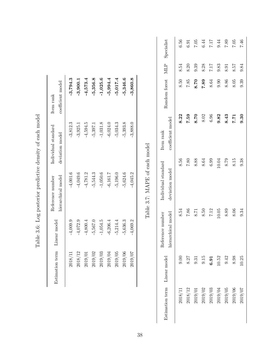|           | Estimation term Linear model | hierarchical model<br>Reference number | Individual standard<br>deviation model | coefficient model<br>Item rank |
|-----------|------------------------------|----------------------------------------|----------------------------------------|--------------------------------|
| 2018/11   | $-4,009.9$                   | $-4,001.6$                             | $-3,812.3$                             | $-3,794.3$                     |
| 2018/12   | $-4,072.9$                   | $-4,049.6$                             | $-3,925.1$                             | 3,900.1                        |
| $2019/01$ | 4,800.4                      | $-4,781.2$                             | 4,594.5                                | $-4,573.4$                     |
| $2019/02$ | $-5,567.0$                   | $-5,544.3$                             | $-5,397.1$                             | 5,356.8                        |
| 2019/03   | 1,054.5                      | $-1,050.6$                             | $-1,031.8$                             | 1,025.6                        |
| 2019/04   | $-6,206.4$                   | $-6, 161.7$                            | $-6,024.0$                             | 5,994.4                        |
| 2019/05   | $-5,214.4$                   | $-5,196.0$                             | $-5,034.3$                             | 5,017.4                        |
| 2019/06   | $-5,636.3$                   | 5,624.6                                | 5,393.8                                | 5,346.6                        |
| 2019/07   | 4,069.2                      | 4,045.2                                | $-3,888.0$                             | 3,860.8                        |

| I<br>$+$ code $-$<br>ׇ֚֘<br>֠<br>)<br>İ  |
|------------------------------------------|
| $2 - 1 - 1 = 0$<br>į<br>I<br>۱<br>ä<br>١ |
| $\frac{1}{2}$<br>i<br>١<br>ı             |
| てんこう こうこうしょう うち                          |
| j<br>i<br>ł                              |
| $\frac{1}{2}$                            |
| )<br>}<br>ĺ                              |

| Estimation term Linear model |       | Reference number   | Individual standard | $\mbox{Item rank}$ | Random forest MLP Specialist |      |          |
|------------------------------|-------|--------------------|---------------------|--------------------|------------------------------|------|----------|
|                              |       | hierarchical model | deviation model     | coefficient model  |                              |      |          |
| 2018/11                      | 0.00  | 8.54               | 8.56                | 8.22               | $8.50\,$                     | 8.54 | 6.56     |
| 2018/12                      | 8.27  | 7.86               | $7.80\,$            | 7.59               | 7.85                         | 8.20 | 6.91     |
| 2019/01                      | 9.31  | $8.71\,$           | 8.88                | 8.70               | 8.70                         | 9.39 | $7.05\,$ |
| 2019/02                      | 9.15  | $\phantom{0}8.50$  | $\phantom{0}8.64$   | $8.02\,$           | 7.89                         | 8.28 | 6.44     |
| $2019/03$                    | 6.91  | $7.12\,$           | 6.99                | $\,6.96$           | 8.64                         | 7.17 | $7.17\,$ |
| 2019/04                      | 10.52 | $10.05\,$          | 10.04               | 9.82               | 0.90                         | 9.83 | 9.44     |
| 2019/05                      | 9.42  | 8.89               | $8.79\,$            | 8.43               | 8.86                         | 8.91 | 7.89     |
| 2019/06                      | 8.98  | 8.06               | $8.15\,$            | 1.71               | 8.05                         | 257  | 7.05     |
| 2019/07                      | 10.25 | 9.34               | 9.38                | 9.30               | 9.39                         | 9.84 | 7.46     |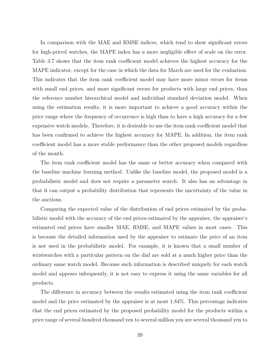In comparison with the MAE and RMSE indices, which tend to show significant errors for high-priced watches, the MAPE index has a more negligible effect of scale on the error. Table 3.7 shows that the item rank coefficient model achieves the highest accuracy for the MAPE indicator, except for the case in which the data for March are used for the evaluation. This indicates that the item rank coefficient model may have more minor errors for items with small end prices, and more significant errors for products with large end prices, than the reference number hierarchical model and individual standard deviation model. When using the estimation results, it is more important to achieve a good accuracy within the price range where the frequency of occurrence is high than to have a high accuracy for a few expensive watch models. Therefore, it is desirable to use the item rank coefficient model that has been confirmed to achieve the highest accuracy for MAPE. In addition, the item rank coefficient model has a more stable performance than the other proposed models regardless of the month.

The item rank coefficient model has the same or better accuracy when compared with the baseline machine learning method. Unlike the baseline model, the proposed model is a probabilistic model and does not require a parameter search. It also has an advantage in that it can output a probability distribution that represents the uncertainty of the value in the auctions.

Comparing the expected value of the distribution of end prices estimated by the probabilistic model with the accuracy of the end prices estimated by the appraiser, the appraiser's estimated end prices have smaller MAE, RMSE, and MAPE values in most cases. This is because the detailed information used by the appraiser to estimate the price of an item is not used in the probabilistic model. For example, it is known that a small number of wristwatches with a particular pattern on the dial are sold at a much higher price than the ordinary same watch model. Because such information is described uniquely for each watch model and appears infrequently, it is not easy to express it using the same variables for all products.

The difference in accuracy between the results estimated using the item rank coefficient model and the price estimated by the appraiser is at most 1.84%. This percentage indicates that the end prices estimated by the proposed probability model for the products within a price range of several hundred thousand yen to several million yen are several thousand yen to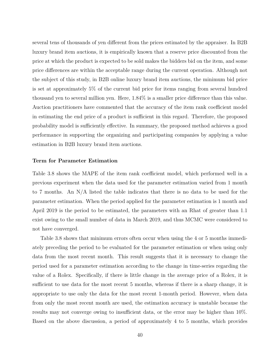several tens of thousands of yen different from the prices estimated by the appraiser. In B2B luxury brand item auctions, it is empirically known that a reserve price discounted from the price at which the product is expected to be sold makes the bidders bid on the item, and some price differences are within the acceptable range during the current operation. Although not the subject of this study, in B2B online luxury brand item auctions, the minimum bid price is set at approximately 5% of the current bid price for items ranging from several hundred thousand yen to several million yen. Here, 1.84% is a smaller price difference than this value. Auction practitioners have commented that the accuracy of the item rank coefficient model in estimating the end price of a product is sufficient in this regard. Therefore, the proposed probability model is sufficiently effective. In summary, the proposed method achieves a good performance in supporting the organizing and participating companies by applying a value estimation in B2B luxury brand item auctions.

#### **Term for Parameter Estimation**

Table 3.8 shows the MAPE of the item rank coefficient model, which performed well in a previous experiment when the data used for the parameter estimation varied from 1 month to 7 months. An N/A listed the table indicates that there is no data to be used for the parameter estimation. When the period applied for the parameter estimation is 1 month and April 2019 is the period to be estimated, the parameters with an Rhat of greater than 1.1 exist owing to the small number of data in March 2019, and thus MCMC were considered to not have converged.

Table 3.8 shows that minimum errors often occur when using the 4 or 5 months immediately preceding the period to be evaluated for the parameter estimation or when using only data from the most recent month. This result suggests that it is necessary to change the period used for a parameter estimation according to the change in time-series regarding the value of a Rolex. Specifically, if there is little change in the average price of a Rolex, it is sufficient to use data for the most recent 5 months, whereas if there is a sharp change, it is appropriate to use only the data for the most recent 1-month period. However, when data from only the most recent month are used, the estimation accuracy is unstable because the results may not converge owing to insufficient data, or the error may be higher than 10%. Based on the above discussion, a period of approximately 4 to 5 months, which provides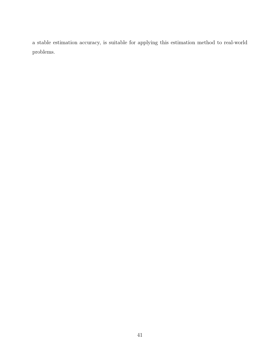a stable estimation accuracy, is suitable for applying this estimation method to real-world problems.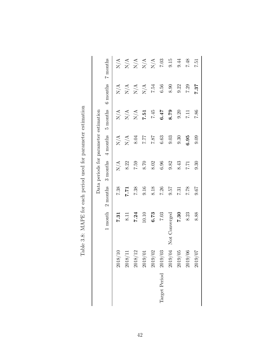|                                       | 7 months              |                                      |                | $\begin{array}{c} 4 \\ 2 \\ 1 \\ 2 \\ 3 \\ 4 \\ 4 \\ 5 \\ 6 \\ 7.03 \\ 7.03 \\ 7.03 \\ 7.03 \\ 7.03 \\ 7.03 \\ 7.03 \\ 7.03 \\ 7.03 \\ 7.03 \\ 7.03 \\ 7.03 \\ 7.03 \\ 7.03 \\ 7.03 \\ 7.03 \\ 7.03 \\ 7.03 \\ 7.03 \\ 7.03 \\ 7.03 \\ 7.03 \\ 7.03 \\ 7.03 \\ 7.03 \\ 7.03 \\ 7.03 \\ 7.03 \\ 7.03 \\ 7.03 \\ 7.03 \\$ |             |             |               | $\hphantom{0}\hphantom{0}9.15$ | 9.44        | 7.48         | 13.7        |
|---------------------------------------|-----------------------|--------------------------------------|----------------|-------------------------------------------------------------------------------------------------------------------------------------------------------------------------------------------------------------------------------------------------------------------------------------------------------------------------|-------------|-------------|---------------|--------------------------------|-------------|--------------|-------------|
|                                       | 6 months              |                                      |                | $\begin{array}{c}\n 4 \\ \times \\ 2 \\ \times \\ 2 \\ \end{array}$                                                                                                                                                                                                                                                     |             | 7.54        | 6.56          | $\phantom{0}8.90$              | 9.22        | 7.29         | 7.87        |
|                                       | $5$ months            | $\ensuremath{\mathrm{N}/\mathrm{A}}$ | $\rm N/A$      | N/A                                                                                                                                                                                                                                                                                                                     | 7.51        | 7.45        | 6.47          | 8.79                           | 9.20        | 7.11         | 7.86        |
| Data periods for parameter estimation |                       |                                      | $N/A$<br>$N/A$ | 8.04                                                                                                                                                                                                                                                                                                                    | 7.77        | 7.87        | 6.63          | 9.03                           | 0.30        | 6.95         | 0.09        |
|                                       | $3$ months $4$ months | N/A                                  | 8.22           | 7.59                                                                                                                                                                                                                                                                                                                    | 8.70        | 8.02        | 6.96          | 9.82                           | 8.43        | <b>17.71</b> | 0.30        |
|                                       | 2 months              | 7.38                                 | <b>7.71</b>    | 7.38                                                                                                                                                                                                                                                                                                                    | 9.16        | 8.18        | 7.26          | 19.6                           | 7.31        | 82.2         | 79.6        |
|                                       | $1$ month             | 7.31                                 | 8.11           | 7.24                                                                                                                                                                                                                                                                                                                    | 10.10       | 6.73        | 7.03          | Not Converged                  | 7.30        | 8.23         | 8.88        |
|                                       |                       | 8/10<br>201                          | $8/11$<br>201  | $8/12$<br>201                                                                                                                                                                                                                                                                                                           | 9/01<br>201 | 9/02<br>201 | 9/03<br>201   | 9/04<br>201                    | 9/05<br>201 | 9/06<br>201  | 20/6<br>201 |
|                                       |                       |                                      |                |                                                                                                                                                                                                                                                                                                                         |             |             | Target Period |                                |             |              |             |

| l                                                    |
|------------------------------------------------------|
|                                                      |
| - בתרומת המתוחת המתוחת המתוחת המתוחת המתוחת המדוקה ה |
|                                                      |
|                                                      |
|                                                      |
| ı                                                    |
| <br> <br> }                                          |
| ;<br>)<br>                                           |
| $\ddot{\phantom{0}}$                                 |
| - 1<br>- 1<br>- 1<br>- 1                             |
| ິ<br>ດ<br>)<br>)                                     |
|                                                      |
| į                                                    |
| $\frac{1}{2}$                                        |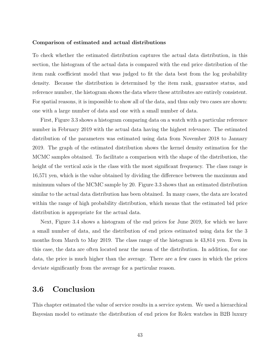#### **Comparison of estimated and actual distributions**

To check whether the estimated distribution captures the actual data distribution, in this section, the histogram of the actual data is compared with the end price distribution of the item rank coefficient model that was judged to fit the data best from the log probability density. Because the distribution is determined by the item rank, guarantee status, and reference number, the histogram shows the data where these attributes are entirely consistent. For spatial reasons, it is impossible to show all of the data, and thus only two cases are shown: one with a large number of data and one with a small number of data.

First, Figure 3.3 shows a histogram comparing data on a watch with a particular reference number in February 2019 with the actual data having the highest relevance. The estimated distribution of the parameters was estimated using data from November 2018 to January 2019. The graph of the estimated distribution shows the kernel density estimation for the MCMC samples obtained. To facilitate a comparison with the shape of the distribution, the height of the vertical axis is the class with the most significant frequency. The class range is 16,571 yen, which is the value obtained by dividing the difference between the maximum and minimum values of the MCMC sample by 20. Figure 3.3 shows that an estimated distribution similar to the actual data distribution has been obtained. In many cases, the data are located within the range of high probability distribution, which means that the estimated bid price distribution is appropriate for the actual data.

Next, Figure 3.4 shows a histogram of the end prices for June 2019, for which we have a small number of data, and the distribution of end prices estimated using data for the 3 months from March to May 2019. The class range of the histogram is 43,814 yen. Even in this case, the data are often located near the mean of the distribution. In addition, for one data, the price is much higher than the average. There are a few cases in which the prices deviate significantly from the average for a particular reason.

## **3.6 Conclusion**

This chapter estimated the value of service results in a service system. We used a hierarchical Bayesian model to estimate the distribution of end prices for Rolex watches in B2B luxury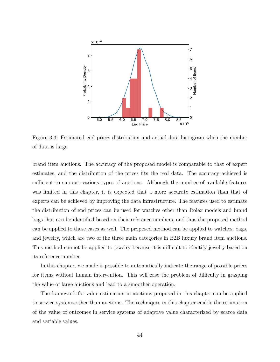

Figure 3.3: Estimated end prices distribution and actual data histogram when the number of data is large

brand item auctions. The accuracy of the proposed model is comparable to that of expert estimates, and the distribution of the prices fits the real data. The accuracy achieved is sufficient to support various types of auctions. Although the number of available features was limited in this chapter, it is expected that a more accurate estimation than that of experts can be achieved by improving the data infrastructure. The features used to estimate the distribution of end prices can be used for watches other than Rolex models and brand bags that can be identified based on their reference numbers, and thus the proposed method can be applied to these cases as well. The proposed method can be applied to watches, bags, and jewelry, which are two of the three main categories in B2B luxury brand item auctions. This method cannot be applied to jewelry because it is difficult to identify jewelry based on its reference number.

In this chapter, we made it possible to automatically indicate the range of possible prices for items without human intervention. This will ease the problem of difficulty in grasping the value of large auctions and lead to a smoother operation.

The framework for value estimation in auctions proposed in this chapter can be applied to service systems other than auctions. The techniques in this chapter enable the estimation of the value of outcomes in service systems of adaptive value characterized by scarce data and variable values.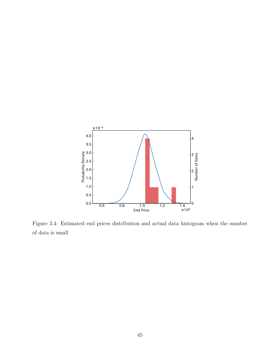

Figure 3.4: Estimated end prices distribution and actual data histogram when the number of data is small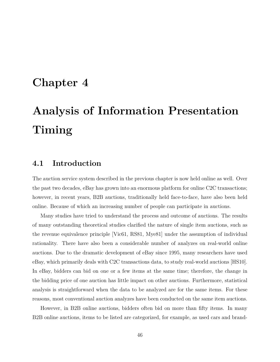# **Chapter 4**

# **Analysis of Information Presentation Timing**

## **4.1 Introduction**

The auction service system described in the previous chapter is now held online as well. Over the past two decades, eBay has grown into an enormous platform for online C2C transactions; however, in recent years, B2B auctions, traditionally held face-to-face, have also been held online. Because of which an increasing number of people can participate in auctions.

Many studies have tried to understand the process and outcome of auctions. The results of many outstanding theoretical studies clarified the nature of single item auctions, such as the revenue equivalence principle [Vic61, RS81, Mye81] under the assumption of individual rationality. There have also been a considerable number of analyzes on real-world online auctions. Due to the dramatic development of eBay since 1995, many researchers have used eBay, which primarily deals with C2C transactions data, to study real-world auctions [HS10]. In eBay, bidders can bid on one or a few items at the same time; therefore, the change in the bidding price of one auction has little impact on other auctions. Furthermore, statistical analysis is straightforward when the data to be analyzed are for the same items. For these reasons, most conventional auction analyzes have been conducted on the same item auctions.

However, in B2B online auctions, bidders often bid on more than fifty items. In many B2B online auctions, items to be listed are categorized, for example, as used cars and brand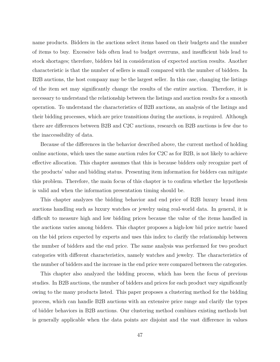name products. Bidders in the auctions select items based on their budgets and the number of items to buy. Excessive bids often lead to budget overruns, and insufficient bids lead to stock shortages; therefore, bidders bid in consideration of expected auction results. Another characteristic is that the number of sellers is small compared with the number of bidders. In B2B auctions, the host company may be the largest seller. In this case, changing the listings of the item set may significantly change the results of the entire auction. Therefore, it is necessary to understand the relationship between the listings and auction results for a smooth operation. To understand the characteristics of B2B auctions, an analysis of the listings and their bidding processes, which are price transitions during the auctions, is required. Although there are differences between B2B and C2C auctions, research on B2B auctions is few due to the inaccessibility of data.

Because of the differences in the behavior described above, the current method of holding online auctions, which uses the same auction rules for C2C as for B2B, is not likely to achieve effective allocation. This chapter assumes that this is because bidders only recognize part of the products' value and bidding status. Presenting item information for bidders can mitigate this problem. Therefore, the main focus of this chapter is to confirm whether the hypothesis is valid and when the information presentation timing should be.

This chapter analyzes the bidding behavior and end price of B2B luxury brand item auctions handling such as luxury watches or jewelry using real-world data. In general, it is difficult to measure high and low bidding prices because the value of the items handled in the auctions varies among bidders. This chapter proposes a high-low bid price metric based on the bid prices expected by experts and uses this index to clarify the relationship between the number of bidders and the end price. The same analysis was performed for two product categories with different characteristics, namely watches and jewelry. The characteristics of the number of bidders and the increase in the end price were compared between the categories.

This chapter also analyzed the bidding process, which has been the focus of previous studies. In B2B auctions, the number of bidders and prices for each product vary significantly owing to the many products listed. This paper proposes a clustering method for the bidding process, which can handle B2B auctions with an extensive price range and clarify the types of bidder behaviors in B2B auctions. Our clustering method combines existing methods but is generally applicable when the data points are disjoint and the vast difference in values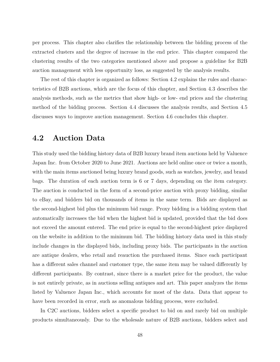per process. This chapter also clarifies the relationship between the bidding process of the extracted clusters and the degree of increase in the end price. This chapter compared the clustering results of the two categories mentioned above and propose a guideline for B2B auction management with less opportunity loss, as suggested by the analysis results.

The rest of this chapter is organized as follows: Section 4.2 explains the rules and characteristics of B2B auctions, which are the focus of this chapter, and Section 4.3 describes the analysis methods, such as the metrics that show high- or low- end prices and the clustering method of the bidding process. Section 4.4 discusses the analysis results, and Section 4.5 discusses ways to improve auction management. Section 4.6 concludes this chapter.

## **4.2 Auction Data**

This study used the bidding history data of B2B luxury brand item auctions held by Valuence Japan Inc. from October 2020 to June 2021. Auctions are held online once or twice a month, with the main items auctioned being luxury brand goods, such as watches, jewelry, and brand bags. The duration of each auction term is 6 or 7 days, depending on the item category. The auction is conducted in the form of a second-price auction with proxy bidding, similar to eBay, and bidders bid on thousands of items in the same term. Bids are displayed as the second-highest bid plus the minimum bid range. Proxy bidding is a bidding system that automatically increases the bid when the highest bid is updated, provided that the bid does not exceed the amount entered. The end price is equal to the second-highest price displayed on the website in addition to the minimum bid. The bidding history data used in this study include changes in the displayed bids, including proxy bids. The participants in the auction are antique dealers, who retail and reauction the purchased items. Since each participant has a different sales channel and customer type, the same item may be valued differently by different participants. By contrast, since there is a market price for the product, the value is not entirely private, as in auctions selling antiques and art. This paper analyzes the items listed by Valuence Japan Inc., which accounts for most of the data. Data that appear to have been recorded in error, such as anomalous bidding process, were excluded.

In C2C auctions, bidders select a specific product to bid on and rarely bid on multiple products simultaneously. Due to the wholesale nature of B2B auctions, bidders select and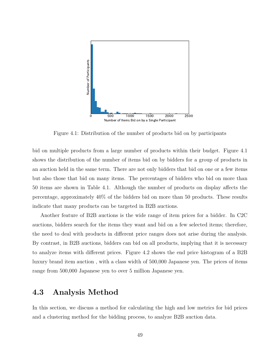![](_page_49_Figure_0.jpeg)

Figure 4.1: Distribution of the number of products bid on by participants

bid on multiple products from a large number of products within their budget. Figure 4.1 shows the distribution of the number of items bid on by bidders for a group of products in an auction held in the same term. There are not only bidders that bid on one or a few items but also those that bid on many items. The percentages of bidders who bid on more than 50 items are shown in Table 4.1. Although the number of products on display affects the percentage, approximately 40% of the bidders bid on more than 50 products. These results indicate that many products can be targeted in B2B auctions.

Another feature of B2B auctions is the wide range of item prices for a bidder. In C2C auctions, bidders search for the items they want and bid on a few selected items; therefore, the need to deal with products in different price ranges does not arise during the analysis. By contrast, in B2B auctions, bidders can bid on all products, implying that it is necessary to analyze items with different prices. Figure 4.2 shows the end price histogram of a B2B luxury brand item auction , with a class width of 500,000 Japanese yen. The prices of items range from 500,000 Japanese yen to over 5 million Japanese yen.

## **4.3 Analysis Method**

In this section, we discuss a method for calculating the high and low metrics for bid prices and a clustering method for the bidding process, to analyze B2B auction data.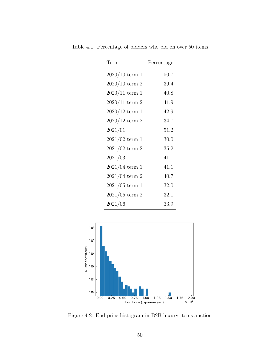| Term             | Percentage |
|------------------|------------|
| $2020/10$ term 1 | 50.7       |
| $2020/10$ term 2 | 39.4       |
| $2020/11$ term 1 | 40.8       |
| $2020/11$ term 2 | 41.9       |
| $2020/12$ term 1 | 42.9       |
| $2020/12$ term 2 | 34.7       |
| 2021/01          | 51.2       |
| $2021/02$ term 1 | 30.0       |
| $2021/02$ term 2 | 35.2       |
| 2021/03          | 41.1       |
| $2021/04$ term 1 | 41.1       |
| $2021/04$ term 2 | 40.7       |
| $2021/05$ term 1 | 32.0       |
| $2021/05$ term 2 | 32.1       |
| 2021/06          | 33.9       |

Table 4.1: Percentage of bidders who bid on over 50 items

![](_page_50_Figure_2.jpeg)

Figure 4.2: End price histogram in B2B luxury items auction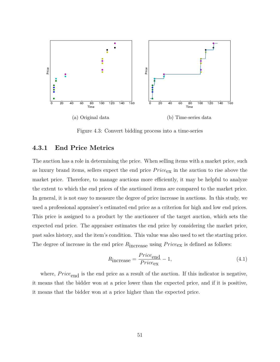![](_page_51_Figure_0.jpeg)

Figure 4.3: Convert bidding process into a time-series

## **4.3.1 End Price Metrics**

The auction has a role in determining the price. When selling items with a market price, such as luxury brand items, sellers expect the end price *P rice*ex in the auction to rise above the market price. Therefore, to manage auctions more efficiently, it may be helpful to analyze the extent to which the end prices of the auctioned items are compared to the market price. In general, it is not easy to measure the degree of price increase in auctions. In this study, we used a professional appraiser's estimated end price as a criterion for high and low end prices. This price is assigned to a product by the auctioneer of the target auction, which sets the expected end price. The appraiser estimates the end price by considering the market price, past sales history, and the item's condition. This value was also used to set the starting price. The degree of increase in the end price  $R_{\text{increase}}$  using  $Price_{\text{ex}}$  is defined as follows:

$$
R_{\text{increase}} = \frac{Price_{\text{end}}}{Price_{\text{ex}}} - 1,\tag{4.1}
$$

where,  $Price_{end}$  is the end price as a result of the auction. If this indicator is negative, it means that the bidder won at a price lower than the expected price, and if it is positive, it means that the bidder won at a price higher than the expected price.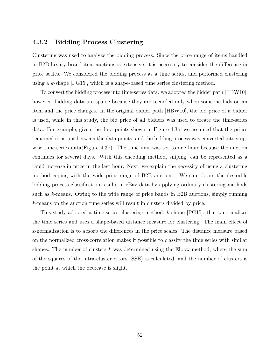#### **4.3.2 Bidding Process Clustering**

Clustering was used to analyze the bidding process. Since the price range of items handled in B2B luxury brand item auctions is extensive, it is necessary to consider the difference in price scales. We considered the bidding process as a time series, and performed clustering using a *k*-shape [PG15], which is a shape-based time series clustering method.

To convert the bidding process into time-series data, we adopted the bidder path [HBW10]; however, bidding data are sparse because they are recorded only when someone bids on an item and the price changes. In the original bidder path [HBW10], the bid price of a bidder is used, while in this study, the bid price of all bidders was used to create the time-series data. For example, given the data points shown in Figure 4.3a, we assumed that the prices remained constant between the data points, and the bidding process was converted into stepwise time-series data(Figure 4.3b). The time unit was set to one hour because the auction continues for several days. With this encoding method, sniping, can be represented as a rapid increase in price in the last hour. Next, we explain the necessity of using a clustering method coping with the wide price range of B2B auctions. We can obtain the desirable bidding process classification results in eBay data by applying ordinary clustering methods such as *k*-means. Owing to the wide range of price bands in B2B auctions, simply running *k*-means on the auction time series will result in clusters divided by price.

This study adopted a time-series clustering method, *k*-shape [PG15], that z-normalizes the time series and uses a shape-based distance measure for clustering. The main effect of z-normalization is to absorb the differences in the price scales. The distance measure based on the normalized cross-correlation makes it possible to classify the time series with similar shapes. The number of clusters *k* was determined using the Elbow method, where the sum of the squares of the intra-cluster errors (SSE) is calculated, and the number of clusters is the point at which the decrease is slight.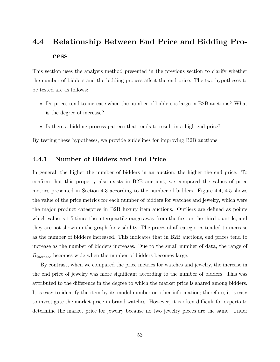## **4.4 Relationship Between End Price and Bidding Process**

This section uses the analysis method presented in the previous section to clarify whether the number of bidders and the bidding process affect the end price. The two hypotheses to be tested are as follows:

- Do prices tend to increase when the number of bidders is large in B2B auctions? What is the degree of increase?
- Is there a bidding process pattern that tends to result in a high end price?

By testing these hypotheses, we provide guidelines for improving B2B auctions.

### **4.4.1 Number of Bidders and End Price**

In general, the higher the number of bidders in an auction, the higher the end price. To confirm that this property also exists in B2B auctions, we compared the values of price metrics presented in Section 4.3 according to the number of bidders. Figure 4.4, 4.5 shows the value of the price metrics for each number of bidders for watches and jewelry, which were the major product categories in B2B luxury item auctions. Outliers are defined as points which value is 1.5 times the interquartile range away from the first or the third quartile, and they are not shown in the graph for visibility. The prices of all categories tended to increase as the number of bidders increased. This indicates that in B2B auctions, end prices tend to increase as the number of bidders increases. Due to the small number of data, the range of *Rincrease* becomes wide when the number of bidders becomes large.

By contrast, when we compared the price metrics for watches and jewelry, the increase in the end price of jewelry was more significant according to the number of bidders. This was attributed to the difference in the degree to which the market price is shared among bidders. It is easy to identify the item by its model number or other information; therefore, it is easy to investigate the market price in brand watches. However, it is often difficult for experts to determine the market price for jewelry because no two jewelry pieces are the same. Under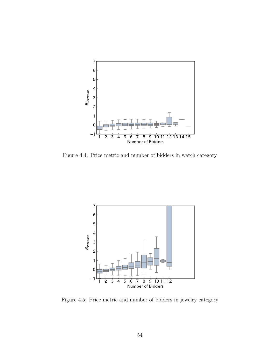![](_page_54_Figure_0.jpeg)

Figure 4.4: Price metric and number of bidders in watch category

![](_page_54_Figure_2.jpeg)

Figure 4.5: Price metric and number of bidders in jewelry category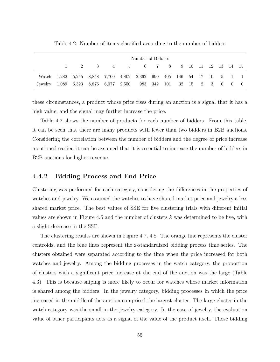|                                                                 |     |     |          | Number of Bidders                                                    |  |  |  |  |                                                 |
|-----------------------------------------------------------------|-----|-----|----------|----------------------------------------------------------------------|--|--|--|--|-------------------------------------------------|
|                                                                 | 2 — | - 3 | $4\quad$ | 5 6 7 8 9 10 11 12 13 14 15                                          |  |  |  |  |                                                 |
|                                                                 |     |     |          | Watch 1,282 5,245 8,858 7,700 4,802 2,362 990 405 146 54 17 10 5 1 1 |  |  |  |  |                                                 |
| Jewelry 1,089 6,323 8,876 6,077 2,550 983 342 101 32 15 2 3 0 0 |     |     |          |                                                                      |  |  |  |  | $\left( \begin{array}{c} 0 \end{array} \right)$ |

Table 4.2: Number of items classified according to the number of bidders

these circumstances, a product whose price rises during an auction is a signal that it has a high value, and the signal may further increase the price.

Table 4.2 shows the number of products for each number of bidders. From this table, it can be seen that there are many products with fewer than two bidders in B2B auctions. Considering the correlation between the number of bidders and the degree of price increase mentioned earlier, it can be assumed that it is essential to increase the number of bidders in B2B auctions for higher revenue.

#### **4.4.2 Bidding Process and End Price**

Clustering was performed for each category, considering the differences in the properties of watches and jewelry. We assumed the watches to have shared market price and jewelry a less shared market price. The best values of SSE for five clustering trials with different initial values are shown in Figure 4.6 and the number of clusters *k* was determined to be five, with a slight decrease in the SSE.

The clustering results are shown in Figure 4.7, 4.8. The orange line represents the cluster centroids, and the blue lines represent the z-standardized bidding process time series. The clusters obtained were separated according to the time when the price increased for both watches and jewelry. Among the bidding processes in the watch category, the proportion of clusters with a significant price increase at the end of the auction was the large (Table 4.3). This is because sniping is more likely to occur for watches whose market information is shared among the bidders. In the jewelry category, bidding processes in which the price increased in the middle of the auction comprised the largest cluster. The large cluster in the watch category was the small in the jewelry category. In the case of jewelry, the evaluation value of other participants acts as a signal of the value of the product itself. Those bidding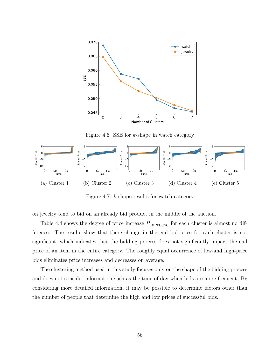![](_page_56_Figure_0.jpeg)

Figure 4.6: SSE for *k*-shape in watch category

![](_page_56_Figure_2.jpeg)

Figure 4.7: *k*-shape results for watch category

on jewelry tend to bid on an already bid product in the middle of the auction.

Table 4.4 shows the degree of price increase  $R_{\text{increase}}$  for each cluster is almost no difference. The results show that there change in the end bid price for each cluster is not significant, which indicates that the bidding process does not significantly impact the end price of an item in the entire category. The roughly equal occurrence of low-and high-price bids eliminates price increases and decreases on average.

The clustering method used in this study focuses only on the shape of the bidding process and does not consider information such as the time of day when bids are more frequent. By considering more detailed information, it may be possible to determine factors other than the number of people that determine the high and low prices of successful bids.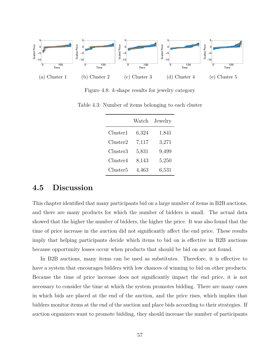![](_page_57_Figure_0.jpeg)

Figure 4.8: *k*-shape results for jewelry category

|          | Watch | Jewelry |
|----------|-------|---------|
| Cluster1 | 6,324 | 1,841   |
| Cluster2 | 7,117 | 3,271   |
| Cluster3 | 5,831 | 9,499   |
| Cluster4 | 8,143 | 5,250   |
| Cluster5 | 4,463 | 6,531   |

Table 4.3: Number of items belonging to each cluster

## **4.5 Discussion**

This chapter identified that many participants bid on a large number of items in B2B auctions, and there are many products for which the number of bidders is small. The actual data showed that the higher the number of bidders, the higher the price. It was also found that the time of price increase in the auction did not significantly affect the end price. These results imply that helping participants decide which items to bid on is effective in B2B auctions because opportunity losses occur when products that should be bid on are not found.

In B2B auctions, many items can be used as substitutes. Therefore, it is effective to have a system that encourages bidders with low chances of winning to bid on other products. Because the time of price increase does not significantly impact the end price, it is not necessary to consider the time at which the system promotes bidding. There are many cases in which bids are placed at the end of the auction, and the price rises, which implies that bidders monitor items at the end of the auction and place bids according to their strategies. If auction organizers want to promote bidding, they should increase the number of participants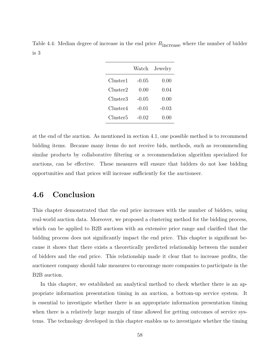|                      | Watch   | Jewelry |
|----------------------|---------|---------|
| Cluster1             | -0.05   | 0.00    |
| Cluster2             | 0.00    | 0.04    |
| Cluster3             | $-0.05$ | 0.00    |
| Cluster4             | -0.01   | $-0.03$ |
| Cluster <sub>5</sub> | -0.02   | (1.00)  |

Table 4.4: Median degree of increase in the end price  $R_{\text{increase}}$  where the number of bidder is 3

at the end of the auction. As mentioned in section 4.1, one possible method is to recommend bidding items. Because many items do not receive bids, methods, such as recommending similar products by collaborative filtering or a recommendation algorithm specialized for auctions, can be effective. These measures will ensure that bidders do not lose bidding opportunities and that prices will increase sufficiently for the auctioneer.

## **4.6 Conclusion**

This chapter demonstrated that the end price increases with the number of bidders, using real-world auction data. Moreover, we proposed a clustering method for the bidding process, which can be applied to B2B auctions with an extensive price range and clarified that the bidding process does not significantly impact the end price. This chapter is significant because it shows that there exists a theoretically predicted relationship between the number of bidders and the end price. This relationship made it clear that to increase profits, the auctioneer company should take measures to encourage more companies to participate in the B2B auction.

In this chapter, we established an analytical method to check whether there is an appropriate information presentation timing in an auction, a bottom-up service system. It is essential to investigate whether there is an appropriate information presentation timing when there is a relatively large margin of time allowed for getting outcomes of service systems. The technology developed in this chapter enables us to investigate whether the timing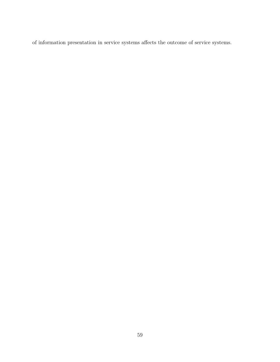of information presentation in service systems affects the outcome of service systems.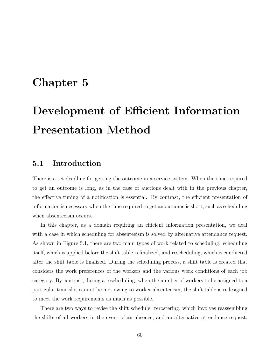# **Chapter 5**

# **Development of Efficient Information Presentation Method**

## **5.1 Introduction**

There is a set deadline for getting the outcome in a service system. When the time required to get an outcome is long, as in the case of auctions dealt with in the previous chapter, the effective timing of a notification is essential. By contrast, the efficient presentation of information is necessary when the time required to get an outcome is short, such as scheduling when absenteeism occurs.

In this chapter, as a domain requiring an efficient information presentation, we deal with a case in which scheduling for absenteeism is solved by alternative attendance request. As shown in Figure 5.1, there are two main types of work related to scheduling: scheduling itself, which is applied before the shift table is finalized, and rescheduling, which is conducted after the shift table is finalized. During the scheduling process, a shift table is created that considers the work preferences of the workers and the various work conditions of each job category. By contrast, during a rescheduling, when the number of workers to be assigned to a particular time slot cannot be met owing to worker absenteeism, the shift table is redesigned to meet the work requirements as much as possible.

There are two ways to revise the shift schedule: rerostering, which involves reassembling the shifts of all workers in the event of an absence, and an alternative attendance request,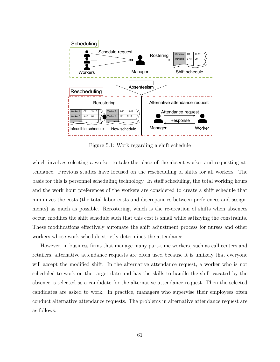![](_page_61_Figure_0.jpeg)

Figure 5.1: Work regarding a shift schedule

which involves selecting a worker to take the place of the absent worker and requesting attendance. Previous studies have focused on the rescheduling of shifts for all workers. The basis for this is personnel scheduling technology. In staff scheduling, the total working hours and the work hour preferences of the workers are considered to create a shift schedule that minimizes the costs (the total labor costs and discrepancies between preferences and assignments) as much as possible. Rerostering, which is the re-creation of shifts when absences occur, modifies the shift schedule such that this cost is small while satisfying the constraints. These modifications effectively automate the shift adjustment process for nurses and other workers whose work schedule strictly determines the attendance.

However, in business firms that manage many part-time workers, such as call centers and retailers, alternative attendance requests are often used because it is unlikely that everyone will accept the modified shift. In the alternative attendance request, a worker who is not scheduled to work on the target date and has the skills to handle the shift vacated by the absence is selected as a candidate for the alternative attendance request. Then the selected candidates are asked to work. In practice, managers who supervise their employees often conduct alternative attendance requests. The problems in alternative attendance request are as follows.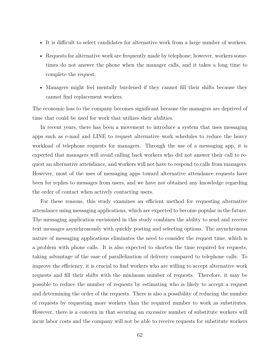- It is difficult to select candidates for alternative work from a large number of workers.
- Requests for alternative work are frequently made by telephone; however, workers sometimes do not answer the phone when the manager calls, and it takes a long time to complete the request.
- Managers might feel mentally burdened if they cannot fill their shifts because they cannot find replacement workers.

The economic loss to the company becomes significant because the managers are deprived of time that could be used for work that utilizes their abilities.

In recent years, there has been a movement to introduce a system that uses messaging apps such as e-mail and LINE to request alternative work schedules to reduce the heavy workload of telephone requests for managers. Through the use of a messaging app, it is expected that managers will avoid calling back workers who did not answer their call to request an alternative attendance, and workers will not have to respond to calls from managers. However, most of the uses of messaging apps toward alternative attendance requests have been for replies to messages from users, and we have not obtained any knowledge regarding the order of contact when actively contacting users.

For these reasons, this study examines an efficient method for requesting alternative attendance using messaging applications, which are expected to become popular in the future. The messaging application envisioned in this study combines the ability to send and receive text messages asynchronously with quickly posting and selecting options. The asynchronous nature of messaging applications eliminates the need to consider the request time, which is a problem with phone calls. It is also expected to shorten the time required for requests, taking advantage of the ease of parallelization of delivery compared to telephone calls. To improve the efficiency, it is crucial to find workers who are willing to accept alternative work requests and fill their shifts with the minimum number of requests. Therefore, it may be possible to reduce the number of requests by estimating who is likely to accept a request and determining the order of the requests. There is also a possibility of reducing the number of requests by requesting more workers than the required number to work as substitutes. However, there is a concern in that securing an excessive number of substitute workers will incur labor costs and the company will not be able to receive requests for substitute workers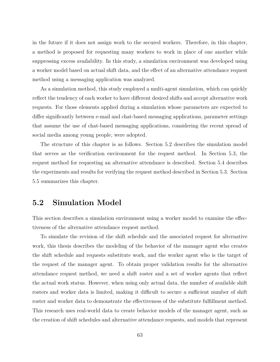in the future if it does not assign work to the secured workers. Therefore, in this chapter, a method is proposed for requesting many workers to work in place of one another while suppressing excess availability. In this study, a simulation environment was developed using a worker model based on actual shift data, and the effect of an alternative attendance request method using a messaging application was analyzed.

As a simulation method, this study employed a multi-agent simulation, which can quickly reflect the tendency of each worker to have different desired shifts and accept alternative work requests. For those elements applied during a simulation whose parameters are expected to differ significantly between e-mail and chat-based messaging applications, parameter settings that assume the use of chat-based messaging applications, considering the recent spread of social media among young people, were adopted.

The structure of this chapter is as follows. Section 5.2 describes the simulation model that serves as the verification environment for the request method. In Section 5.3, the request method for requesting an alternative attendance is described. Section 5.4 describes the experiments and results for verifying the request method described in Section 5.3. Section 5.5 summarizes this chapter.

## **5.2 Simulation Model**

This section describes a simulation environment using a worker model to examine the effectiveness of the alternative attendance request method.

To simulate the revision of the shift schedule and the associated request for alternative work, this thesis describes the modeling of the behavior of the manager agent who creates the shift schedule and requests substitute work, and the worker agent who is the target of the request of the manager agent. To obtain proper validation results for the alternative attendance request method, we need a shift roster and a set of worker agents that reflect the actual work status. However, when using only actual data, the number of available shift rosters and worker data is limited, making it difficult to secure a sufficient number of shift roster and worker data to demonstrate the effectiveness of the substitute fulfillment method. This research uses real-world data to create behavior models of the manager agent, such as the creation of shift schedules and alternative attendance requests, and models that represent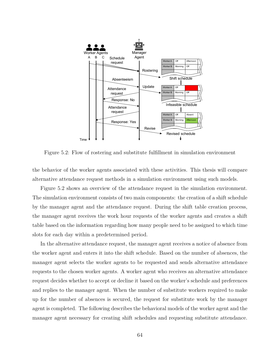![](_page_64_Figure_0.jpeg)

Figure 5.2: Flow of rostering and substitute fulfillment in simulation environment

the behavior of the worker agents associated with these activities. This thesis will compare alternative attendance request methods in a simulation environment using such models.

Figure 5.2 shows an overview of the attendance request in the simulation environment. The simulation environment consists of two main components: the creation of a shift schedule by the manager agent and the attendance request. During the shift table creation process, the manager agent receives the work hour requests of the worker agents and creates a shift table based on the information regarding how many people need to be assigned to which time slots for each day within a predetermined period.

In the alternative attendance request, the manager agent receives a notice of absence from the worker agent and enters it into the shift schedule. Based on the number of absences, the manager agent selects the worker agents to be requested and sends alternative attendance requests to the chosen worker agents. A worker agent who receives an alternative attendance request decides whether to accept or decline it based on the worker's schedule and preferences and replies to the manager agent. When the number of substitute workers required to make up for the number of absences is secured, the request for substitute work by the manager agent is completed. The following describes the behavioral models of the worker agent and the manager agent necessary for creating shift schedules and requesting substitute attendance.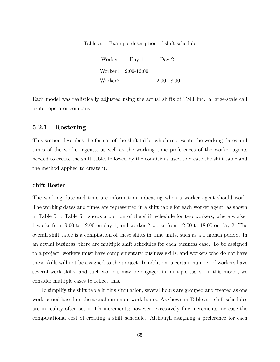| Worker  | Day 1              | Day $2$     |
|---------|--------------------|-------------|
|         | Worker1 9:00-12:00 |             |
| Worker2 |                    | 12:00-18:00 |

Table 5.1: Example description of shift schedule

Each model was realistically adjusted using the actual shifts of TMJ Inc., a large-scale call center operator company.

#### **5.2.1 Rostering**

This section describes the format of the shift table, which represents the working dates and times of the worker agents, as well as the working time preferences of the worker agents needed to create the shift table, followed by the conditions used to create the shift table and the method applied to create it.

#### **Shift Roster**

The working date and time are information indicating when a worker agent should work. The working dates and times are represented in a shift table for each worker agent, as shown in Table 5.1. Table 5.1 shows a portion of the shift schedule for two workers, where worker 1 works from 9:00 to 12:00 on day 1, and worker 2 works from 12:00 to 18:00 on day 2. The overall shift table is a compilation of these shifts in time units, such as a 1 month period. In an actual business, there are multiple shift schedules for each business case. To be assigned to a project, workers must have complementary business skills, and workers who do not have these skills will not be assigned to the project. In addition, a certain number of workers have several work skills, and such workers may be engaged in multiple tasks. In this model, we consider multiple cases to reflect this.

To simplify the shift table in this simulation, several hours are grouped and treated as one work period based on the actual minimum work hours. As shown in Table 5.1, shift schedules are in reality often set in 1-h increments; however, excessively fine increments increase the computational cost of creating a shift schedule. Although assigning a preference for each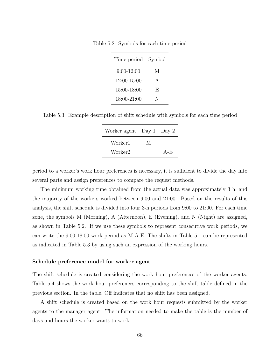Table 5.2: Symbols for each time period

| Time period    | Symbol       |
|----------------|--------------|
| $9:00 - 12:00$ | М            |
| 12:00-15:00    | $\mathbf{A}$ |
| 15:00-18:00    | F,           |
| 18:00-21:00    | N            |

Table 5.3: Example description of shift schedule with symbols for each time period

| Worker agent Day 1 Day 2 |   |       |
|--------------------------|---|-------|
| Worker1                  | М |       |
| Worker2                  |   | $A-E$ |

period to a worker's work hour preferences is necessary, it is sufficient to divide the day into several parts and assign preferences to compare the request methods.

The minimum working time obtained from the actual data was approximately 3 h, and the majority of the workers worked between 9:00 and 21:00. Based on the results of this analysis, the shift schedule is divided into four 3-h periods from 9:00 to 21:00. For each time zone, the symbols M (Morning), A (Afternoon), E (Evening), and N (Night) are assigned, as shown in Table 5.2. If we use these symbols to represent consecutive work periods, we can write the 9:00-18:00 work period as M-A-E. The shifts in Table 5.1 can be represented as indicated in Table 5.3 by using such an expression of the working hours.

#### **Schedule preference model for worker agent**

The shift schedule is created considering the work hour preferences of the worker agents. Table 5.4 shows the work hour preferences corresponding to the shift table defined in the previous section. In the table, Off indicates that no shift has been assigned.

A shift schedule is created based on the work hour requests submitted by the worker agents to the manager agent. The information needed to make the table is the number of days and hours the worker wants to work.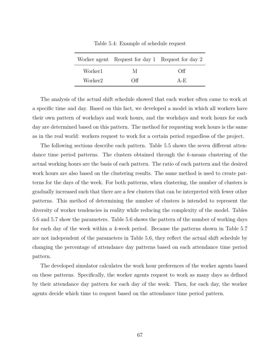|         | Worker agent Request for day 1 Request for day 2 |       |
|---------|--------------------------------------------------|-------|
| Worker1 | M                                                | Off   |
| Worker2 | Off                                              | $A-F$ |

Table 5.4: Example of schedule request

The analysis of the actual shift schedule showed that each worker often came to work at a specific time and day. Based on this fact, we developed a model in which all workers have their own pattern of workdays and work hours, and the workdays and work hours for each day are determined based on this pattern. The method for requesting work hours is the same as in the real world: workers request to work for a certain period regardless of the project.

The following sections describe each pattern. Table 5.5 shows the seven different attendance time period patterns. The clusters obtained through the *k*-means clustering of the actual working hours are the basis of each pattern. The ratio of each pattern and the desired work hours are also based on the clustering results. The same method is used to create patterns for the days of the week. For both patterns, when clustering, the number of clusters is gradually increased such that there are a few clusters that can be interpreted with fewer other patterns. This method of determining the number of clusters is intended to represent the diversity of worker tendencies in reality while reducing the complexity of the model. Tables 5.6 and 5.7 show the parameters. Table 5.6 shows the pattern of the number of working days for each day of the week within a 4-week period. Because the patterns shown in Table 5.7 are not independent of the parameters in Table 5.6, they reflect the actual shift schedule by changing the percentage of attendance day patterns based on each attendance time period pattern.

The developed simulator calculates the work hour preferences of the worker agents based on these patterns. Specifically, the worker agents request to work as many days as defined by their attendance day pattern for each day of the week. Then, for each day, the worker agents decide which time to request based on the attendance time period pattern.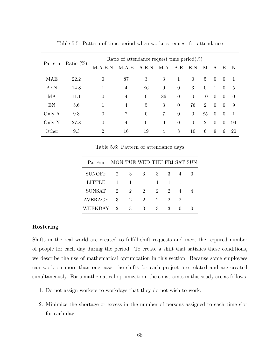| Ratio $(\%)$<br>Pattern |      | Ratio of attendance request time period(%) |                |                |                |                |                  |                |                |                |               |
|-------------------------|------|--------------------------------------------|----------------|----------------|----------------|----------------|------------------|----------------|----------------|----------------|---------------|
|                         |      | $M-A-E-N$                                  | $M-A-E$        | $A-E-N$        | M-A            | $A-E$          | $E-N$            | М              | A              | E              | -N            |
| MAE                     | 22.2 | $\theta$                                   | 87             | 3              | 3              | 1              | $\theta$         | $\overline{5}$ | $\theta$       | $\Omega$       |               |
| <b>AEN</b>              | 14.8 |                                            | 4              | 86             | $\overline{0}$ | $\theta$       | 3                | $\overline{0}$ | 1              | $\theta$       | $\frac{5}{2}$ |
| MA                      | 11.1 | $\overline{0}$                             | $\overline{4}$ | $\overline{0}$ | 86             | $\theta$       | $\boldsymbol{0}$ | 10             | $\overline{0}$ | $\overline{0}$ | $\Omega$      |
| EN                      | 5.6  | 1                                          | $\overline{4}$ | 5              | 3              | $\theta$       | 76               | 2              | $\overline{0}$ | $\theta$       | 9             |
| Only A                  | 9.3  | $\overline{0}$                             | 7              | $\overline{0}$ | 7              | $\theta$       | $\overline{0}$   | 85             | $\overline{0}$ | $\overline{0}$ |               |
| Only N                  | 27.8 | $\overline{0}$                             | 4              | $\overline{0}$ | $\theta$       | $\overline{0}$ | $\overline{0}$   | $\overline{2}$ | $\theta$       | $\overline{0}$ | 94            |
| Other                   | 9.3  | $\overline{2}$                             | 16             | 19             | $\overline{4}$ | 8              | 10               | 6              | 9              | 6              | 20            |

Table 5.5: Pattern of time period when workers request for attendance

Table 5.6: Pattern of attendance days

| Pattern       | MON TUE WED THU FRI SAT SUN |                |                             |              |                |                             |   |
|---------------|-----------------------------|----------------|-----------------------------|--------------|----------------|-----------------------------|---|
| SUNOFF        | $\overline{2}$              | 3              | -3                          | 3            | 3              | 4                           |   |
| LITTLE        | 1                           | $\overline{1}$ | $\overline{1}$              | $\mathbf{1}$ | $\overline{1}$ | $\mathbf{1}$                |   |
| <b>SUNSAT</b> | 2                           | 2              | 2                           | 2            | $\overline{2}$ | 4                           |   |
| AVERAGE       | 3                           | 2              | $\mathcal{D}_{\mathcal{L}}$ | 2            | 2              | $\mathcal{D}_{\mathcal{L}}$ | 1 |
| WEEKDAY       | $\overline{2}$              | 3              | 3                           | 3            | 3              | $\left( \right)$            |   |
|               |                             |                |                             |              |                |                             |   |

#### **Rostering**

Shifts in the real world are created to fulfill shift requests and meet the required number of people for each day during the period. To create a shift that satisfies these conditions, we describe the use of mathematical optimization in this section. Because some employees can work on more than one case, the shifts for each project are related and are created simultaneously. For a mathematical optimization, the constraints in this study are as follows.

- 1. Do not assign workers to workdays that they do not wish to work.
- 2. Minimize the shortage or excess in the number of persons assigned to each time slot for each day.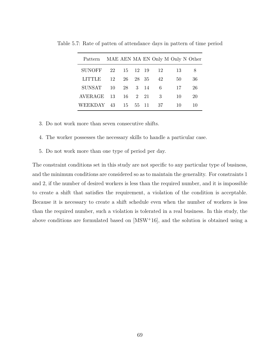| Pattern       |    |    |         |      | MAE AEN MA EN Only M Only N Other |    |    |
|---------------|----|----|---------|------|-----------------------------------|----|----|
| <b>SUNOFF</b> | 22 | 15 | 12 19   |      | 12                                | 13 | 8  |
| LITTLE        | 12 | 26 | 28 35   |      | 42                                | 50 | 36 |
| <b>SUNSAT</b> | 10 | 28 |         | 3 14 | - 6                               | 17 | 26 |
| AVERAGE 13    |    |    | 16 2 21 |      | -3                                | 10 | 20 |
| WEEKDAY 43    |    | 15 | 55 11   |      | 37                                | 10 | 10 |

Table 5.7: Rate of patten of attendance days in pattern of time period

- 3. Do not work more than seven consecutive shifts.
- 4. The worker possesses the necessary skills to handle a particular case.
- 5. Do not work more than one type of period per day.

The constraint conditions set in this study are not specific to any particular type of business, and the minimum conditions are considered so as to maintain the generality. For constraints 1 and 2, if the number of desired workers is less than the required number, and it is impossible to create a shift that satisfies the requirement, a violation of the condition is acceptable. Because it is necessary to create a shift schedule even when the number of workers is less than the required number, such a violation is tolerated in a real business. In this study, the above conditions are formulated based on [MSW<sup>+</sup>16], and the solution is obtained using a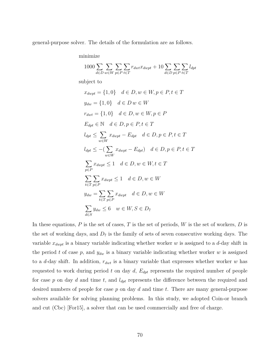general-purpose solver. The details of the formulation are as follows.

minimize

$$
1000 \sum_{d \in D} \sum_{w \in W} \sum_{p \in P} \sum_{t \in T} r_{dwt} x_{dwpt} + 10 \sum_{d \in D} \sum_{p \in P} \sum_{t \in T} l_{dpt}
$$

subject to

$$
x_{dwp} = \{1, 0\} \quad d \in D, w \in W, p \in P, t \in T
$$
  
\n
$$
y_{dw} = \{1, 0\} \quad d \in D \quad w \in W
$$
  
\n
$$
r_{dwt} = \{1, 0\} \quad d \in D, w \in W, p \in P
$$
  
\n
$$
E_{dpt} \in \mathbb{N} \quad d \in D, p \in P, t \in T
$$
  
\n
$$
l_{dpt} \le \sum_{w \in W} x_{dwp} - E_{dpt} \quad d \in D, p \in P, t \in T
$$
  
\n
$$
l_{dpt} \le -(\sum_{w \in W} x_{dwp} - E_{dpt}) \quad d \in D, p \in P, t \in T
$$
  
\n
$$
\sum_{p \in P} x_{dwp} \le 1 \quad d \in D, w \in W, t \in T
$$
  
\n
$$
\sum_{t \in T} \sum_{p \in P} x_{dwp} \le 1 \quad d \in D, w \in W
$$
  
\n
$$
y_{dw} = \sum_{t \in T} \sum_{p \in P} x_{dwp} \quad d \in D, w \in W
$$
  
\n
$$
\sum_{d \in S} y_{dw} \le 6 \quad w \in W, S \in D_7
$$

In these equations, *P* is the set of cases, *T* is the set of periods, *W* is the set of workers, *D* is the set of working days, and  $D_7$  is the family of sets of seven consecutive working days. The variable *xdwpt* is a binary variable indicating whether worker *w* is assigned to a *d*-day shift in the period *t* of case  $p$ , and  $y_{dw}$  is a binary variable indicating whether worker  $w$  is assigned to a *d*-day shift. In addition, *rdwt* is a binary variable that expresses whether worker *w* has requested to work during period  $t$  on day  $d$ ,  $E_{dpt}$  represents the required number of people for case *p* on day *d* and time *t*, and *ldpt* represents the difference between the required and desired numbers of people for case *p* on day *d* and time *t*. There are many general-purpose solvers available for solving planning problems. In this study, we adopted Coin-or branch and cut (Cbc) [For15], a solver that can be used commercially and free of charge.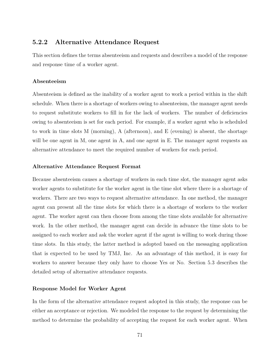### **5.2.2 Alternative Attendance Request**

This section defines the terms absenteeism and requests and describes a model of the response and response time of a worker agent.

#### **Absenteeism**

Absenteeism is defined as the inability of a worker agent to work a period within in the shift schedule. When there is a shortage of workers owing to absenteeism, the manager agent needs to request substitute workers to fill in for the lack of workers. The number of deficiencies owing to absenteeism is set for each period. For example, if a worker agent who is scheduled to work in time slots M (morning), A (afternoon), and E (evening) is absent, the shortage will be one agent in M, one agent in A, and one agent in E. The manager agent requests an alternative attendance to meet the required number of workers for each period.

#### **Alternative Attendance Request Format**

Because absenteeism causes a shortage of workers in each time slot, the manager agent asks worker agents to substitute for the worker agent in the time slot where there is a shortage of workers. There are two ways to request alternative attendance. In one method, the manager agent can present all the time slots for which there is a shortage of workers to the worker agent. The worker agent can then choose from among the time slots available for alternative work. In the other method, the manager agent can decide in advance the time slots to be assigned to each worker and ask the worker agent if the agent is willing to work during those time slots. In this study, the latter method is adopted based on the messaging application that is expected to be used by TMJ, Inc. As an advantage of this method, it is easy for workers to answer because they only have to choose Yes or No. Section 5.3 describes the detailed setup of alternative attendance requests.

#### **Response Model for Worker Agent**

In the form of the alternative attendance request adopted in this study, the response can be either an acceptance or rejection. We modeled the response to the request by determining the method to determine the probability of accepting the request for each worker agent. When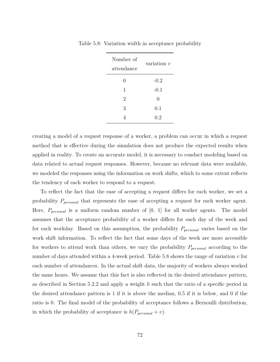| Number of<br>attendance | variation $v$ |
|-------------------------|---------------|
| 0                       | $-0.2$        |
| 1                       | $-0.1$        |
| 2                       | 0             |
| 3                       | 0.1           |
|                         | $0.2\,$       |

Table 5.8: Variation width in acceptance probability

creating a model of a request response of a worker, a problem can occur in which a request method that is effective during the simulation does not produce the expected results when applied in reality. To create an accurate model, it is necessary to conduct modeling based on data related to actual request responses. However, because no relevant data were available, we modeled the responses using the information on work shifts, which to some extent reflects the tendency of each worker to respond to a request.

To reflect the fact that the ease of accepting a request differs for each worker, we set a probability *Ppersonal* that represents the ease of accepting a request for each worker agent. Here, *Ppersonal* is a uniform random number of [0, 1] for all worker agents. The model assumes that the acceptance probability of a worker differs for each day of the week and for each workday. Based on this assumption, the probability *Ppersonal* varies based on the work shift information. To reflect the fact that some days of the week are more accessible for workers to attend work than others, we vary the probability *Ppersonal* according to the number of days attended within a 4-week period. Table 5.8 shows the range of variation *v* for each number of attendances. In the actual shift data, the majority of workers always worked the same hours. We assume that this fact is also reflected in the desired attendance pattern, as described in Section 5.2.2 and apply a weight *h* such that the ratio of a specific period in the desired attendance pattern is 1 if it is above the median, 0.5 if it is below, and 0 if the ratio is 0. The final model of the probability of acceptance follows a Bernoulli distribution, in which the probability of acceptance is  $h(P_{personal} + v)$ .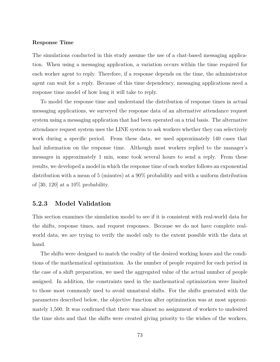### **Response Time**

The simulations conducted in this study assume the use of a chat-based messaging application. When using a messaging application, a variation occurs within the time required for each worker agent to reply. Therefore, if a response depends on the time, the administrator agent can wait for a reply. Because of this time dependency, messaging applications need a response time model of how long it will take to reply.

To model the response time and understand the distribution of response times in actual messaging applications, we surveyed the response data of an alternative attendance request system using a messaging application that had been operated on a trial basis. The alternative attendance request system uses the LINE system to ask workers whether they can selectively work during a specific period. From these data, we used approximately 140 cases that had information on the response time. Although most workers replied to the manager's messages in approximately 1 min, some took several hours to send a reply. From these results, we developed a model in which the response time of each worker follows an exponential distribution with a mean of 5 (minutes) at a 90% probability and with a uniform distribution of [30, 120] at a  $10\%$  probability.

# **5.2.3 Model Validation**

This section examines the simulation model to see if it is consistent with real-world data for the shifts, response times, and request responses. Because we do not have complete realworld data, we are trying to verify the model only to the extent possible with the data at hand.

The shifts were designed to match the reality of the desired working hours and the conditions of the mathematical optimization. As the number of people required for each period in the case of a shift preparation, we used the aggregated value of the actual number of people assigned. In addition, the constraints used in the mathematical optimization were limited to those most commonly used to avoid unnatural shifts. For the shifts generated with the parameters described below, the objective function after optimization was at most approximately 1,500. It was confirmed that there was almost no assignment of workers to undesired the time slots and that the shifts were created giving priority to the wishes of the workers,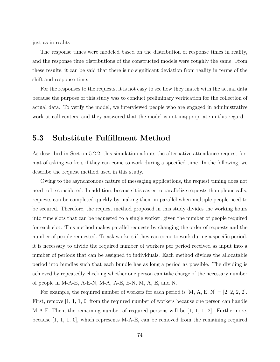just as in reality.

The response times were modeled based on the distribution of response times in reality, and the response time distributions of the constructed models were roughly the same. From these results, it can be said that there is no significant deviation from reality in terms of the shift and response time.

For the responses to the requests, it is not easy to see how they match with the actual data because the purpose of this study was to conduct preliminary verification for the collection of actual data. To verify the model, we interviewed people who are engaged in administrative work at call centers, and they answered that the model is not inappropriate in this regard.

# **5.3 Substitute Fulfillment Method**

As described in Section 5.2.2, this simulation adopts the alternative attendance request format of asking workers if they can come to work during a specified time. In the following, we describe the request method used in this study.

Owing to the asynchronous nature of messaging applications, the request timing does not need to be considered. In addition, because it is easier to parallelize requests than phone calls, requests can be completed quickly by making them in parallel when multiple people need to be secured. Therefore, the request method proposed in this study divides the working hours into time slots that can be requested to a single worker, given the number of people required for each slot. This method makes parallel requests by changing the order of requests and the number of people requested. To ask workers if they can come to work during a specific period, it is necessary to divide the required number of workers per period received as input into a number of periods that can be assigned to individuals. Each method divides the allocatable period into bundles such that each bundle has as long a period as possible. The dividing is achieved by repeatedly checking whether one person can take charge of the necessary number of people in M-A-E, A-E-N, M-A, A-E, E-N, M, A, E, and N.

For example, the required number of workers for each period is  $[M, A, E, N] = [2, 2, 2, 2]$ . First, remove [1, 1, 1, 0] from the required number of workers because one person can handle M-A-E. Then, the remaining number of required persons will be  $[1, 1, 1, 2]$ . Furthermore, because  $[1, 1, 1, 0]$ , which represents M-A-E, can be removed from the remaining required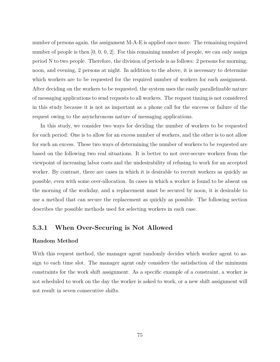number of persons again, the assignment M-A-E is applied once more. The remaining required number of people is then  $[0, 0, 0, 2]$ . For this remaining number of people, we can only assign period N to two people. Therefore, the division of periods is as follows: 2 persons for morning, noon, and evening, 2 persons at night. In addition to the above, it is necessary to determine which workers are to be requested for the required number of workers for each assignment. After deciding on the workers to be requested, the system uses the easily parallelizable nature of messaging applications to send requests to all workers. The request timing is not considered in this study because it is not as important as a phone call for the success or failure of the request owing to the asynchronous nature of messaging applications.

In this study, we consider two ways for deciding the number of workers to be requested for each period: One is to allow for an excess number of workers, and the other is to not allow for such an excess. These two ways of determining the number of workers to be requested are based on the following two real situations. It is better to not over-secure workers from the viewpoint of increasing labor costs and the undesirability of refusing to work for an accepted worker. By contrast, there are cases in which it is desirable to recruit workers as quickly as possible, even with some over-allocation. In cases in which a worker is found to be absent on the morning of the workday, and a replacement must be secured by noon, it is desirable to use a method that can secure the replacement as quickly as possible. The following section describes the possible methods used for selecting workers in each case.

## **5.3.1 When Over-Securing is Not Allowed**

### **Random Method**

With this request method, the manager agent randomly decides which worker agent to assign to each time slot. The manager agent only considers the satisfaction of the minimum constraints for the work shift assignment. As a specific example of a constraint, a worker is not scheduled to work on the day the worker is asked to work, or a new shift assignment will not result in seven consecutive shifts.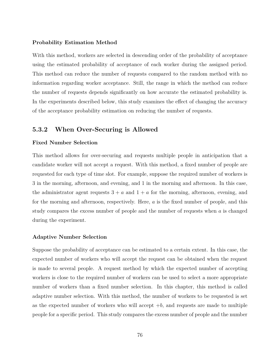### **Probability Estimation Method**

With this method, workers are selected in descending order of the probability of acceptance using the estimated probability of acceptance of each worker during the assigned period. This method can reduce the number of requests compared to the random method with no information regarding worker acceptance. Still, the range in which the method can reduce the number of requests depends significantly on how accurate the estimated probability is. In the experiments described below, this study examines the effect of changing the accuracy of the acceptance probability estimation on reducing the number of requests.

## **5.3.2 When Over-Securing is Allowed**

### **Fixed Number Selection**

This method allows for over-securing and requests multiple people in anticipation that a candidate worker will not accept a request. With this method, a fixed number of people are requested for each type of time slot. For example, suppose the required number of workers is 3 in the morning, afternoon, and evening, and 1 in the morning and afternoon. In this case, the administrator agent requests  $3 + a$  and  $1 + a$  for the morning, afternoon, evening, and for the morning and afternoon, respectively. Here, *a* is the fixed number of people, and this study compares the excess number of people and the number of requests when *a* is changed during the experiment.

#### **Adaptive Number Selection**

Suppose the probability of acceptance can be estimated to a certain extent. In this case, the expected number of workers who will accept the request can be obtained when the request is made to several people. A request method by which the expected number of accepting workers is close to the required number of workers can be used to select a more appropriate number of workers than a fixed number selection. In this chapter, this method is called adaptive number selection. With this method, the number of workers to be requested is set as the expected number of workers who will accept  $+b$ , and requests are made to multiple people for a specific period. This study compares the excess number of people and the number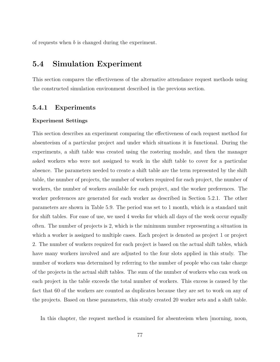of requests when *b* is changed during the experiment.

# **5.4 Simulation Experiment**

This section compares the effectiveness of the alternative attendance request methods using the constructed simulation environment described in the previous section.

## **5.4.1 Experiments**

#### **Experiment Settings**

This section describes an experiment comparing the effectiveness of each request method for absenteeism of a particular project and under which situations it is functional. During the experiments, a shift table was created using the rostering module, and then the manager asked workers who were not assigned to work in the shift table to cover for a particular absence. The parameters needed to create a shift table are the term represented by the shift table, the number of projects, the number of workers required for each project, the number of workers, the number of workers available for each project, and the worker preferences. The worker preferences are generated for each worker as described in Section 5.2.1. The other parameters are shown in Table 5.9. The period was set to 1 month, which is a standard unit for shift tables. For ease of use, we used 4 weeks for which all days of the week occur equally often. The number of projects is 2, which is the minimum number representing a situation in which a worker is assigned to multiple cases. Each project is denoted as project 1 or project 2. The number of workers required for each project is based on the actual shift tables, which have many workers involved and are adjusted to the four slots applied in this study. The number of workers was determined by referring to the number of people who can take charge of the projects in the actual shift tables. The sum of the number of workers who can work on each project in the table exceeds the total number of workers. This excess is caused by the fact that 60 of the workers are counted as duplicates because they are set to work on any of the projects. Based on these parameters, this study created 20 worker sets and a shift table.

In this chapter, the request method is examined for absenteeism when [morning, noon,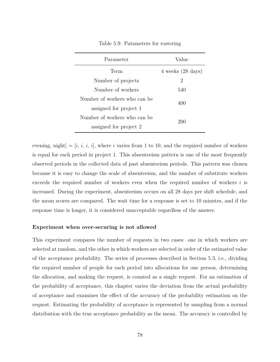| Parameter                    | Value                               |  |
|------------------------------|-------------------------------------|--|
| Term                         | $4 \text{ weeks} (28 \text{ days})$ |  |
| Number of projects           | 2                                   |  |
| Number of workers            | 540                                 |  |
| Number of workers who can be | 400                                 |  |
| assigned for project 1       |                                     |  |
| Number of workers who can be | 200                                 |  |
| assigned for project 2       |                                     |  |

Table 5.9: Patameters for rostering

evening, night]  $=[i, i, i, i]$ , where *i* varies from 1 to 10, and the required number of workers is equal for each period in project 1. This absenteeism pattern is one of the most frequently observed periods in the collected data of past absenteeism periods. This pattern was chosen because it is easy to change the scale of absenteeism, and the number of substitute workers exceeds the required number of workers even when the required number of workers *i* is increased. During the experiment, absenteeism occurs on all 28 days per shift schedule, and the mean scores are compared. The wait time for a response is set to 10 minutes, and if the response time is longer, it is considered unacceptable regardless of the answer.

#### **Experiment when over-securing is not allowed**

This experiment compares the number of requests in two cases: one in which workers are selected at random, and the other in which workers are selected in order of the estimated value of the acceptance probability. The series of processes described in Section 5.3, i.e., dividing the required number of people for each period into allocations for one person, determining the allocation, and making the request, is counted as a single request. For an estimation of the probability of acceptance, this chapter varies the deviation from the actual probability of acceptance and examines the effect of the accuracy of the probability estimation on the request. Estimating the probability of acceptance is represented by sampling from a normal distribution with the true acceptance probability as the mean. The accuracy is controlled by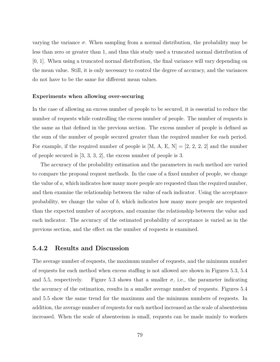varying the variance  $\sigma$ . When sampling from a normal distribution, the probability may be less than zero or greater than 1, and thus this study used a truncated normal distribution of [0, 1]. When using a truncated normal distribution, the final variance will vary depending on the mean value. Still, it is only necessary to control the degree of accuracy, and the variances do not have to be the same for different mean values.

#### **Experiments when allowing over-securing**

In the case of allowing an excess number of people to be secured, it is essential to reduce the number of requests while controlling the excess number of people. The number of requests is the same as that defined in the previous section. The excess number of people is defined as the sum of the number of people secured greater than the required number for each period. For example, if the required number of people is  $[M, A, E, N] = [2, 2, 2, 2]$  and the number of people secured is [3, 3, 3, 2], the excess number of people is 3.

The accuracy of the probability estimation and the parameters in each method are varied to compare the proposal request methods. In the case of a fixed number of people, we change the value of *a*, which indicates how many more people are requested than the required number, and then examine the relationship between the value of each indicator. Using the acceptance probability, we change the value of *b*, which indicates how many more people are requested than the expected number of acceptors, and examine the relationship between the value and each indicator. The accuracy of the estimated probability of acceptance is varied as in the previous section, and the effect on the number of requests is examined.

### **5.4.2 Results and Discussion**

The average number of requests, the maximum number of requests, and the minimum number of requests for each method when excess staffing is not allowed are shown in Figures 5.3, 5.4 and 5.5, respectively. Figure 5.3 shows that a smaller  $\sigma$ , i.e., the parameter indicating the accuracy of the estimation, results in a smaller average number of requests. Figures 5.4 and 5.5 show the same trend for the maximum and the minimum numbers of requests. In addition, the average number of requests for each method increased as the scale of absenteeism increased. When the scale of absenteeism is small, requests can be made mainly to workers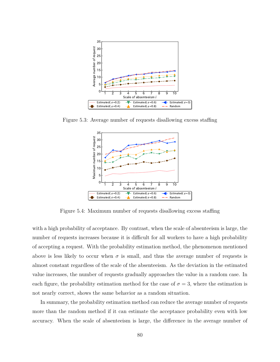

Figure 5.3: Average number of requests disallowing excess staffing



Figure 5.4: Maximum number of requests disallowing excess staffing

with a high probability of acceptance. By contrast, when the scale of absenteeism is large, the number of requests increases because it is difficult for all workers to have a high probability of accepting a request. With the probability estimation method, the phenomenon mentioned above is less likely to occur when  $\sigma$  is small, and thus the average number of requests is almost constant regardless of the scale of the absenteeism. As the deviation in the estimated value increases, the number of requests gradually approaches the value in a random case. In each figure, the probability estimation method for the case of  $\sigma = 3$ , where the estimation is not nearly correct, shows the same behavior as a random situation.

In summary, the probability estimation method can reduce the average number of requests more than the random method if it can estimate the acceptance probability even with low accuracy. When the scale of absenteeism is large, the difference in the average number of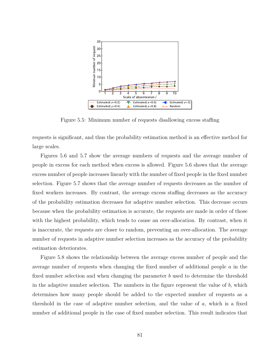

Figure 5.5: Minimum number of requests disallowing excess staffing

requests is significant, and thus the probability estimation method is an effective method for large scales.

Figures 5.6 and 5.7 show the average numbers of requests and the average number of people in excess for each method when excess is allowed. Figure 5.6 shows that the average excess number of people increases linearly with the number of fixed people in the fixed number selection. Figure 5.7 shows that the average number of requests decreases as the number of fixed workers increases. By contrast, the average excess staffing decreases as the accuracy of the probability estimation decreases for adaptive number selection. This decrease occurs because when the probability estimation is accurate, the requests are made in order of those with the highest probability, which tends to cause an over-allocation. By contrast, when it is inaccurate, the requests are closer to random, preventing an over-allocation. The average number of requests in adaptive number selection increases as the accuracy of the probability estimation deteriorates.

Figure 5.8 shows the relationship between the average excess number of people and the average number of requests when changing the fixed number of additional people *a* in the fixed number selection and when changing the parameter *b* used to determine the threshold in the adaptive number selection. The numbers in the figure represent the value of *b*, which determines how many people should be added to the expected number of requests as a threshold in the case of adaptive number selection, and the value of *a*, which is a fixed number of additional people in the case of fixed number selection. This result indicates that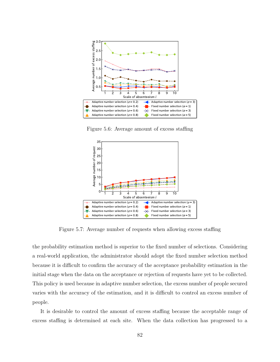

Figure 5.6: Average amount of excess staffing



Figure 5.7: Average number of requests when allowing excess staffing

the probability estimation method is superior to the fixed number of selections. Considering a real-world application, the administrator should adopt the fixed number selection method because it is difficult to confirm the accuracy of the acceptance probability estimation in the initial stage when the data on the acceptance or rejection of requests have yet to be collected. This policy is used because in adaptive number selection, the excess number of people secured varies with the accuracy of the estimation, and it is difficult to control an excess number of people.

It is desirable to control the amount of excess staffing because the acceptable range of excess staffing is determined at each site. When the data collection has progressed to a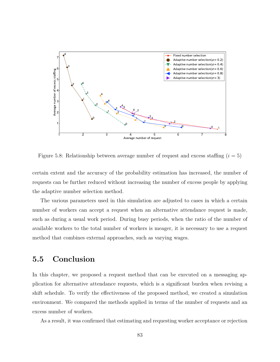

Figure 5.8: Relationship between average number of request and excess staffing  $(i = 5)$ 

certain extent and the accuracy of the probability estimation has increased, the number of requests can be further reduced without increasing the number of excess people by applying the adaptive number selection method.

The various parameters used in this simulation are adjusted to cases in which a certain number of workers can accept a request when an alternative attendance request is made, such as during a usual work period. During busy periods, when the ratio of the number of available workers to the total number of workers is meager, it is necessary to use a request method that combines external approaches, such as varying wages.

# **5.5 Conclusion**

In this chapter, we proposed a request method that can be executed on a messaging application for alternative attendance requests, which is a significant burden when revising a shift schedule. To verify the effectiveness of the proposed method, we created a simulation environment. We compared the methods applied in terms of the number of requests and an excess number of workers.

As a result, it was confirmed that estimating and requesting worker acceptance or rejection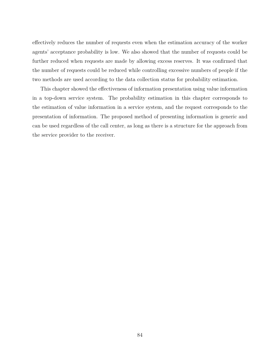effectively reduces the number of requests even when the estimation accuracy of the worker agents' acceptance probability is low. We also showed that the number of requests could be further reduced when requests are made by allowing excess reserves. It was confirmed that the number of requests could be reduced while controlling excessive numbers of people if the two methods are used according to the data collection status for probability estimation.

This chapter showed the effectiveness of information presentation using value information in a top-down service system. The probability estimation in this chapter corresponds to the estimation of value information in a service system, and the request corresponds to the presentation of information. The proposed method of presenting information is generic and can be used regardless of the call center, as long as there is a structure for the approach from the service provider to the receiver.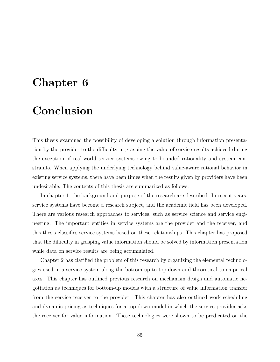# **Chapter 6**

# **Conclusion**

This thesis examined the possibility of developing a solution through information presentation by the provider to the difficulty in grasping the value of service results achieved during the execution of real-world service systems owing to bounded rationality and system constraints. When applying the underlying technology behind value-aware rational behavior in existing service systems, there have been times when the results given by providers have been undesirable. The contents of this thesis are summarized as follows.

In chapter 1, the background and purpose of the research are described. In recent years, service systems have become a research subject, and the academic field has been developed. There are various research approaches to services, such as service science and service engineering. The important entities in service systems are the provider and the receiver, and this thesis classifies service systems based on these relationships. This chapter has proposed that the difficulty in grasping value information should be solved by information presentation while data on service results are being accumulated.

Chapter 2 has clarified the problem of this research by organizing the elemental technologies used in a service system along the bottom-up to top-down and theoretical to empirical axes. This chapter has outlined previous research on mechanism design and automatic negotiation as techniques for bottom-up models with a structure of value information transfer from the service receiver to the provider. This chapter has also outlined work scheduling and dynamic pricing as techniques for a top-down model in which the service provider asks the receiver for value information. These technologies were shown to be predicated on the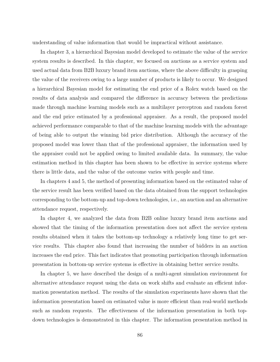understanding of value information that would be impractical without assistance.

In chapter 3, a hierarchical Bayesian model developed to estimate the value of the service system results is described. In this chapter, we focused on auctions as a service system and used actual data from B2B luxury brand item auctions, where the above difficulty in grasping the value of the receivers owing to a large number of products is likely to occur. We designed a hierarchical Bayesian model for estimating the end price of a Rolex watch based on the results of data analysis and compared the difference in accuracy between the predictions made through machine learning models such as a multilayer perceptron and random forest and the end price estimated by a professional appraiser. As a result, the proposed model achieved performance comparable to that of the machine learning models with the advantage of being able to output the winning bid price distribution. Although the accuracy of the proposed model was lower than that of the professional appraiser, the information used by the appraiser could not be applied owing to limited available data. In summary, the value estimation method in this chapter has been shown to be effective in service systems where there is little data, and the value of the outcome varies with people and time.

In chapters 4 and 5, the method of presenting information based on the estimated value of the service result has been verified based on the data obtained from the support technologies corresponding to the bottom-up and top-down technologies, i.e., an auction and an alternative attendance request, respectively.

In chapter 4, we analyzed the data from B2B online luxury brand item auctions and showed that the timing of the information presentation does not affect the service system results obtained when it takes the bottom-up technology a relatively long time to get service results. This chapter also found that increasing the number of bidders in an auction increases the end price. This fact indicates that promoting participation through information presentation in bottom-up service systems is effective in obtaining better service results.

In chapter 5, we have described the design of a multi-agent simulation environment for alternative attendance request using the data on work shifts and evaluate an efficient information presentation method. The results of the simulation experiments have shown that the information presentation based on estimated value is more efficient than real-world methods such as random requests. The effectiveness of the information presentation in both topdown technologies is demonstrated in this chapter. The information presentation method in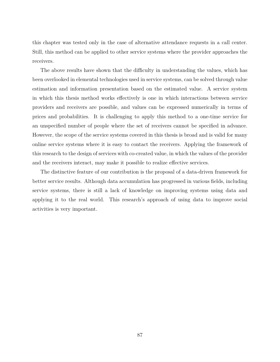this chapter was tested only in the case of alternative attendance requests in a call center. Still, this method can be applied to other service systems where the provider approaches the receivers.

The above results have shown that the difficulty in understanding the values, which has been overlooked in elemental technologies used in service systems, can be solved through value estimation and information presentation based on the estimated value. A service system in which this thesis method works effectively is one in which interactions between service providers and receivers are possible, and values can be expressed numerically in terms of prices and probabilities. It is challenging to apply this method to a one-time service for an unspecified number of people where the set of receivers cannot be specified in advance. However, the scope of the service systems covered in this thesis is broad and is valid for many online service systems where it is easy to contact the receivers. Applying the framework of this research to the design of services with co-created value, in which the values of the provider and the receivers interact, may make it possible to realize effective services.

The distinctive feature of our contribution is the proposal of a data-driven framework for better service results. Although data accumulation has progressed in various fields, including service systems, there is still a lack of knowledge on improving systems using data and applying it to the real world. This research's approach of using data to improve social activities is very important.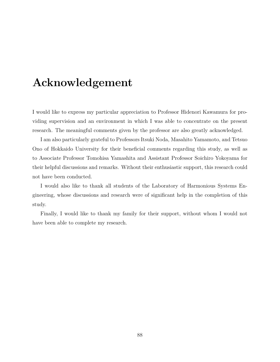# **Acknowledgement**

I would like to express my particular appreciation to Professor Hidenori Kawamura for providing supervision and an environment in which I was able to concentrate on the present research. The meaningful comments given by the professor are also greatly acknowledged.

I am also particularly grateful to Professors Itsuki Noda, Masahito Yamamoto, and Tetsuo Ono of Hokkaido University for their beneficial comments regarding this study, as well as to Associate Professor Tomohisa Yamashita and Assistant Professor Soichiro Yokoyama for their helpful discussions and remarks. Without their enthusiastic support, this research could not have been conducted.

I would also like to thank all students of the Laboratory of Harmonious Systems Engineering, whose discussions and research were of significant help in the completion of this study.

Finally, I would like to thank my family for their support, without whom I would not have been able to complete my research.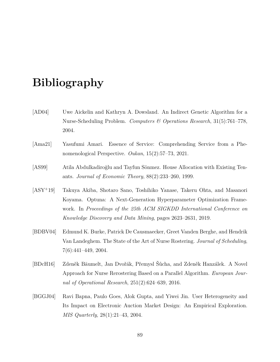# **Bibliography**

- [AD04] Uwe Aickelin and Kathryn A. Dowsland. An Indirect Genetic Algorithm for a Nurse-Scheduling Problem. *Computers & Operations Research*, 31(5):761–778, 2004.
- [Ama21] Yasufumi Amari. Essence of Service: Comprehending Service from a Phenomenological Perspective. *Oukan*, 15(2):57–73, 2021.
- [AS99] Atila Abdulkadiroğlu and Tayfun Sönmez. House Allocation with Existing Tenants. *Journal of Economic Theory*, 88(2):233–260, 1999.
- [ASY<sup>+</sup>19] Takuya Akiba, Shotaro Sano, Toshihiko Yanase, Takeru Ohta, and Masanori Koyama. Optuna: A Next-Generation Hyperparameter Optimization Framework. In *Proceedings of the 25th ACM SIGKDD International Conference on Knowledge Discovery and Data Mining*, pages 2623–2631, 2019.
- [BDBV04] Edmund K. Burke, Patrick De Causmaecker, Greet Vanden Berghe, and Hendrik Van Landeghem. The State of the Art of Nurse Rostering. *Journal of Scheduling*, 7(6):441–449, 2004.
- [BDcH16] Zdeněk Bäumelt, Jan Dvořák, Přemysl Šůcha, and Zdeněk Hanzálek. A Novel Approach for Nurse Rerostering Based on a Parallel Algorithm. *European Journal of Operational Research*, 251(2):624–639, 2016.
- [BGGJ04] Ravi Bapna, Paulo Goes, Alok Gupta, and Yiwei Jin. User Heterogeneity and Its Impact on Electronic Auction Market Design: An Empirical Exploration. *MIS Quarterly*, 28(1):21–43, 2004.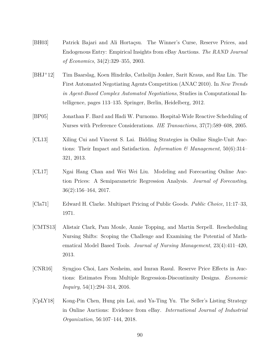- [BH03] Patrick Bajari and Ali Hortaçsu. The Winner's Curse, Reserve Prices, and Endogenous Entry: Empirical Insights from eBay Auctions. *The RAND Journal of Economics*, 34(2):329–355, 2003.
- [BHJ<sup>+</sup>12] Tim Baarslag, Koen Hindriks, Catholijn Jonker, Sarit Kraus, and Raz Lin. The First Automated Negotiating Agents Competition (ANAC 2010). In *New Trends in Agent-Based Complex Automated Negotiations*, Studies in Computational Intelligence, pages 113–135. Springer, Berlin, Heidelberg, 2012.
- [BP05] Jonathan F. Bard and Hadi W. Purnomo. Hospital-Wide Reactive Scheduling of Nurses with Preference Considerations. *IIE Transactions*, 37(7):589–608, 2005.
- [CL13] Xiling Cui and Vincent S. Lai. Bidding Strategies in Online Single-Unit Auctions: Their Impact and Satisfaction. *Information & Management*, 50(6):314– 321, 2013.
- [CL17] Ngai Hang Chan and Wei Wei Liu. Modeling and Forecasting Online Auction Prices: A Semiparametric Regression Analysis. *Journal of Forecasting*, 36(2):156–164, 2017.
- [Cla71] Edward H. Clarke. Multipart Pricing of Public Goods. *Public Choice*, 11:17–33, 1971.
- [CMTS13] Alistair Clark, Pam Moule, Annie Topping, and Martin Serpell. Rescheduling Nursing Shifts: Scoping the Challenge and Examining the Potential of Mathematical Model Based Tools. *Journal of Nursing Management*, 23(4):411–420, 2013.
- [CNR16] Syngjoo Choi, Lars Nesheim, and Imran Rasul. Reserve Price Effects in Auctions: Estimates From Multiple Regression-Discontinuity Designs. *Economic Inquiry*, 54(1):294–314, 2016.
- [CpLY18] Kong-Pin Chen, Hung pin Lai, and Ya-Ting Yu. The Seller's Listing Strategy in Online Auctions: Evidence from eBay. *International Journal of Industrial Organization*, 56:107–144, 2018.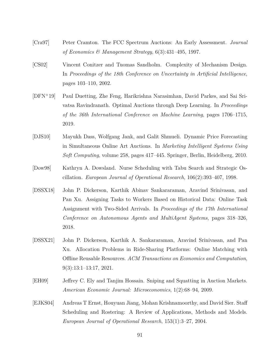- [Cra97] Peter Cramton. The FCC Spectrum Auctions: An Early Assessment. *Journal of Economics & Management Strategy*, 6(3):431–495, 1997.
- [CS02] Vincent Conitzer and Tuomas Sandholm. Complexity of Mechanism Design. In *Proceedings of the 18th Conference on Uncertainty in Artificial Intelligence*, pages 103–110, 2002.
- [DFN<sup>+</sup>19] Paul Duetting, Zhe Feng, Harikrishna Narasimhan, David Parkes, and Sai Srivatsa Ravindranath. Optimal Auctions through Deep Learning. In *Proceedings of the 36th International Conference on Machine Learning*, pages 1706–1715, 2019.
- [DJS10] Mayukh Dass, Wolfgang Jank, and Galit Shmueli. Dynamic Price Forecasting in Simultaneous Online Art Auctions. In *Marketing Intelligent Systems Using Soft Computing*, volume 258, pages 417–445. Springer, Berlin, Heidelberg, 2010.
- [Dow98] Kathryn A. Dowsland. Nurse Scheduling with Tabu Search and Strategic Oscillation. *European Journal of Operational Research*, 106(2):393–407, 1998.
- [DSSX18] John P. Dickerson, Karthik Abinav Sankararaman, Aravind Srinivasan, and Pan Xu. Assigning Tasks to Workers Based on Historical Data: Online Task Assignment with Two-Sided Arrivals. In *Proceedings of the 17th International Conference on Autonomous Agents and MultiAgent Systems*, pages 318–326, 2018.
- [DSSX21] John P. Dickerson, Karthik A. Sankararaman, Aravind Srinivasan, and Pan Xu. Allocation Problems in Ride-Sharing Platforms: Online Matching with Offline Reusable Resources. *ACM Transactions on Economics and Computation*, 9(3):13:1–13:17, 2021.
- [EH09] Jeffrey C. Ely and Tanjim Hossain. Sniping and Squatting in Auction Markets. *American Economic Journal: Microeconomics*, 1(2):68–94, 2009.
- [EJKS04] Andreas T Ernst, Houyuan Jiang, Mohan Krishnamoorthy, and David Sier. Staff Scheduling and Rostering: A Review of Applications, Methods and Models. *European Journal of Operational Research*, 153(1):3–27, 2004.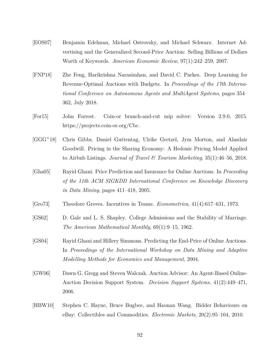- [EOS07] Benjamin Edelman, Michael Ostrovsky, and Michael Schwarz. Internet Advertising and the Generalized Second-Price Auction: Selling Billions of Dollars Worth of Keywords. *American Economic Review*, 97(1):242–259, 2007.
- [FNP18] Zhe Feng, Harikrishna Narasimhan, and David C. Parkes. Deep Learning for Revenue-Optimal Auctions with Budgets. In *Proceedings of the 17th International Conference on Autonomous Agents and MultiAgent Systems*, pages 354– 362, July 2018.
- [For15] John Forrest. Coin-or branch-and-cut mip solver: Version 2.9.0, 2015. https://projects.coin-or.org/Cbc.
- [GGG<sup>+</sup>18] Chris Gibbs, Daniel Guttentag, Ulrike Gretzel, Jym Morton, and Alasdair Goodwill. Pricing in the Sharing Economy: A Hedonic Pricing Model Applied to Airbnb Listings. *Journal of Travel & Tourism Marketing*, 35(1):46–56, 2018.
- [Gha05] Rayid Ghani. Price Prediction and Insurance for Online Auctions. In *Proceeding of the 11th ACM SIGKDD International Conference on Knowledge Discovery in Data Mining*, pages 411–418, 2005.
- [Gro73] Theodore Groves. Incentives in Teams. *Econometrica*, 41(4):617–631, 1973.
- [GS62] D. Gale and L. S. Shapley. College Admissions and the Stability of Marriage. *The American Mathematical Monthly*, 69(1):9–15, 1962.
- [GS04] Rayid Ghani and Hillery Simmons. Predicting the End-Price of Online Auctions. In *Proceedings of the International Workshop on Data Mining and Adaptive Modelling Methods for Economics and Management*, 2004.
- [GW06] Dawn G. Gregg and Steven Walczak. Auction Advisor: An Agent-Based Online-Auction Decision Support System. *Decision Support Systems*, 41(2):449–471, 2006.
- [HBW10] Stephen C. Hayne, Bruce Bugbee, and Haonan Wang. Bidder Behaviours on eBay: Collectibles and Commodities. *Electronic Markets*, 20(2):95–104, 2010.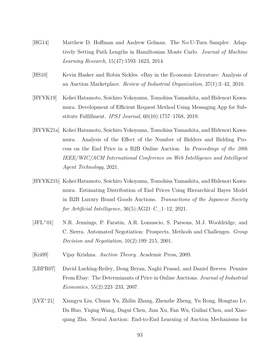- [HG14] Matthew D. Hoffman and Andrew Gelman. The No-U-Turn Sampler: Adaptively Setting Path Lengths in Hamiltonian Monte Carlo. *Journal of Machine Learning Research*, 15(47):1593–1623, 2014.
- [HS10] Kevin Hasker and Robin Sickles. eBay in the Economic Literature: Analysis of an Auction Marketplace. *Review of Industrial Organization*, 37(1):3–42, 2010.
- [HYYK19] Kohei Hatamoto, Soichiro Yokoyama, Tomohisa Yamashita, and Hidenori Kawamura. Development of Efficient Request Method Using Messaging App for Substitute Fulfillment. *IPSJ Journal*, 60(10):1757–1768, 2019.
- [HYYK21a] Kohei Hatamoto, Soichiro Yokoyama, Tomohisa Yamashita, and Hidenori Kawamura. Analysis of the Effect of the Number of Bidders and Bidding Process on the End Price in a B2B Online Auction. In *Proceedings of the 20th IEEE/WIC/ACM International Conference on Web Intelligence and Intelligent Agent Technology*, 2021.
- [HYYK21b] Kohei Hatamoto, Soichiro Yokoyama, Tomohisa Yamashita, and Hidenori Kawamura. Estimating Distribution of End Prices Using Hierarchical Bayes Model in B2B Luxury Brand Goods Auctions. *Transactions of the Japanese Society for Artificial Intelligence*, 36(5):AG21–C\_1–12, 2021.
- [JFL<sup>+</sup>01] N.R. Jennings, P. Faratin, A.R. Lomuscio, S. Parsons, M.J. Wooldridge, and C. Sierra. Automated Negotiation: Prospects, Methods and Challenges. *Group Decision and Negotiation*, 10(2):199–215, 2001.
- [Kri09] Vijay Krishna. *Auction Theory*. Academic Press, 2009.
- [LBPR07] David Lucking-Reiley, Doug Bryan, Naghi Prasad, and Daniel Reeves. Pennies From Ebay: The Determinants of Price in Online Auctions. *Journal of Industrial Economics*, 55(2):223–233, 2007.
- [LYZ<sup>+</sup>21] Xiangyu Liu, Chuan Yu, Zhilin Zhang, Zhenzhe Zheng, Yu Rong, Hongtao Lv, Da Huo, Yiqing Wang, Dagui Chen, Jian Xu, Fan Wu, Guihai Chen, and Xiaoqiang Zhu. Neural Auction: End-to-End Learning of Auction Mechanisms for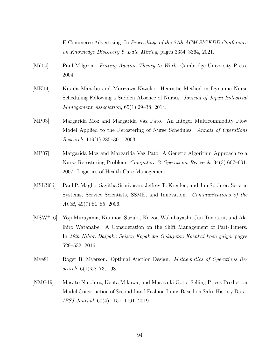E-Commerce Advertising. In *Proceedings of the 27th ACM SIGKDD Conference on Knowledge Discovery & Data Mining*, pages 3354–3364, 2021.

- [Mil04] Paul Milgrom. *Putting Auction Theory to Work*. Cambridge University Press, 2004.
- [MK14] Kitada Manabu and Morizawa Kazuko. Heuristic Method in Dynamic Nurse Scheduling Following a Sudden Absence of Nurses. *Journal of Japan Industrial Management Association*, 65(1):29–38, 2014.
- [MP03] Margarida Moz and Margarida Vaz Pato. An Integer Multicommodity Flow Model Applied to the Rerostering of Nurse Schedules. *Annals of Operations Research*, 119(1):285–301, 2003.
- [MP07] Margarida Moz and Margarida Vaz Pato. A Genetic Algorithm Approach to a Nurse Rerostering Problem. *Computers & Operations Research*, 34(3):667–691, 2007. Logistics of Health Care Management.
- [MSKS06] Paul P. Maglio, Savitha Srinivasan, Jeffrey T. Kreulen, and Jim Spohrer. Service Systems, Service Scientists, SSME, and Innovation. *Communications of the ACM*, 49(7):81–85, 2006.
- [MSW<sup>+</sup>16] Yoji Murayama, Kuninori Suzuki, Keizou Wakabayashi, Jun Tonotani, and Akihiro Watanabe. A Consideration on the Shift Management of Part-Timers. In *49th Nihon Daigaku Seisan Kogakubu Gakujutsu Koenkai koen gaiyo*, pages 529–532. 2016.
- [Mye81] Roger B. Myerson. Optimal Auction Design. *Mathematics of Operations Research*, 6(1):58–73, 1981.
- [NMG19] Masato Ninohira, Kenta Mikawa, and Masayuki Goto. Selling Prices Prediction Model Construction of Second-hand Fashion Items Based on Sales History Data. *IPSJ Journal*, 60(4):1151–1161, 2019.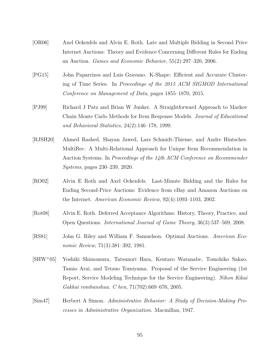- [OR06] Axel Ockenfels and Alvin E. Roth. Late and Multiple Bidding in Second Price Internet Auctions: Theory and Evidence Concerning Different Rules for Ending an Auction. *Games and Economic Behavior*, 55(2):297–320, 2006.
- [PG15] John Paparrizos and Luis Gravano. K-Shape: Efficient and Accurate Clustering of Time Series. In *Proceedings of the 2015 ACM SIGMOD International Conference on Management of Data*, pages 1855–1870, 2015.
- [PJ99] Richard J Patz and Brian W Junker. A Straightforward Approach to Markov Chain Monte Carlo Methods for Item Response Models. *Journal of Educational and Behavioral Statistics*, 24(2):146–178, 1999.
- [RJSH20] Ahmed Rashed, Shayan Jawed, Lars Schmidt-Thieme, and Andre Hintsches. MultiRec: A Multi-Relational Approach for Unique Item Recommendation in Auction Systems. In *Proceedings of the 14th ACM Conference on Recommender Systems*, pages 230–239, 2020.
- [RO02] Alvin E Roth and Axel Ockenfels. Last-Minute Bidding and the Rules for Ending Second-Price Auctions: Evidence from eBay and Amazon Auctions on the Internet. *American Economic Review*, 92(4):1093–1103, 2002.
- [Rot08] Alvin E. Roth. Deferred Acceptance Algorithms: History, Theory, Practice, and Open Questions. *International Journal of Game Theory*, 36(3):537–569, 2008.
- [RS81] John G. Riley and William F. Samuelson. Optimal Auctions. *American Economic Review*, 71(3):381–392, 1981.
- [SHW<sup>+</sup>05] Yoshiki Shimomura, Tatsunori Hara, Kentaro Watanabe, Tomohiko Sakao, Tamio Arai, and Tetsuo Tomiyama. Proposal of the Service Engineering (1st Report, Service Modeling Technique for the Service Engineering). *Nihon Kikai Gakkai rombunshuu. C hen*, 71(702):669–676, 2005.
- [Sim47] Herbert A Simon. *Administrative Behavior: A Study of Decision-Making Processes in Administrative Organization*. Macmillan, 1947.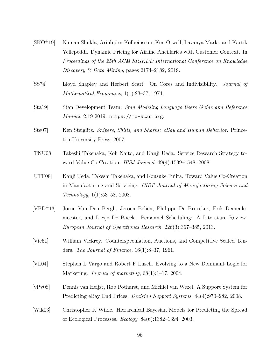- [SKO<sup>+</sup>19] Naman Shukla, Arinbjörn Kolbeinsson, Ken Otwell, Lavanya Marla, and Kartik Yellepeddi. Dynamic Pricing for Airline Ancillaries with Customer Context. In *Proceedings of the 25th ACM SIGKDD International Conference on Knowledge Discovery & Data Mining*, pages 2174–2182, 2019.
- [SS74] Lloyd Shapley and Herbert Scarf. On Cores and Indivisibility. *Journal of Mathematical Economics*, 1(1):23–37, 1974.
- [Sta19] Stan Development Team. *Stan Modeling Language Users Guide and Reference Manual*, 2.19 2019. https://mc-stan.org.
- [Ste07] Ken Steiglitz. *Snipers, Shills, and Sharks: eBay and Human Behavior*. Princeton University Press, 2007.
- [TNU08] Takeshi Takenaka, Koh Naito, and Kanji Ueda. Service Research Strategy toward Value Co-Creation. *IPSJ Journal*, 49(4):1539–1548, 2008.
- [UTF08] Kanji Ueda, Takeshi Takenaka, and Kousuke Fujita. Toward Value Co-Creation in Manufacturing and Servicing. *CIRP Journal of Manufacturing Science and Technology*, 1(1):53–58, 2008.
- [VBD<sup>+</sup>13] Jorne Van Den Bergh, Jeroen Beliën, Philippe De Bruecker, Erik Demeulemeester, and Liesje De Boeck. Personnel Scheduling: A Literature Review. *European Journal of Operational Research*, 226(3):367–385, 2013.
- [Vic61] William Vickrey. Counterspeculation, Auctions, and Competitive Sealed Tenders. *The Journal of Finance*, 16(1):8–37, 1961.
- [VL04] Stephen L Vargo and Robert F Lusch. Evolving to a New Dominant Logic for Marketing. *Journal of marketing*, 68(1):1–17, 2004.
- [vPv08] Dennis van Heijst, Rob Potharst, and Michiel van Wezel. A Support System for Predicting eBay End Prices. *Decision Support Systems*, 44(4):970–982, 2008.
- [Wik03] Christopher K Wikle. Hierarchical Bayesian Models for Predicting the Spread of Ecological Processes. *Ecology*, 84(6):1382–1394, 2003.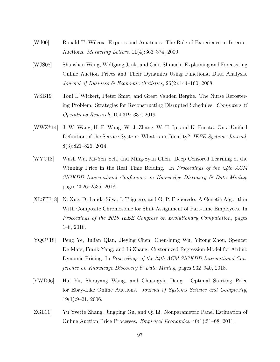- [Wil00] Ronald T. Wilcox. Experts and Amateurs: The Role of Experience in Internet Auctions. *Marketing Letters*, 11(4):363–374, 2000.
- [WJS08] Shanshan Wang, Wolfgang Jank, and Galit Shmueli. Explaining and Forecasting Online Auction Prices and Their Dynamics Using Functional Data Analysis. *Journal of Business & Economic Statistics*, 26(2):144–160, 2008.
- [WSB19] Toni I. Wickert, Pieter Smet, and Greet Vanden Berghe. The Nurse Rerostering Problem: Strategies for Reconstructing Disrupted Schedules. *Computers & Operations Research*, 104:319–337, 2019.
- [WWZ<sup>+</sup>14] J. W. Wang, H. F. Wang, W. J. Zhang, W. H. Ip, and K. Furuta. On a Unified Definition of the Service System: What is its Identity? *IEEE Systems Journal*, 8(3):821–826, 2014.
- [WYC18] Wush Wu, Mi-Yen Yeh, and Ming-Syan Chen. Deep Censored Learning of the Winning Price in the Real Time Bidding. In *Proceedings of the 24th ACM SIGKDD International Conference on Knowledge Discovery & Data Mining*, pages 2526–2535, 2018.
- [XLSTF18] N. Xue, D. Landa-Silva, I. Triguero, and G. P. Figueredo. A Genetic Algorithm With Composite Chromosome for Shift Assignment of Part-time Employees. In *Proceedings of the 2018 IEEE Congress on Evolutionary Computation*, pages 1–8, 2018.
- [YQC<sup>+</sup>18] Peng Ye, Julian Qian, Jieying Chen, Chen-hung Wu, Yitong Zhou, Spencer De Mars, Frank Yang, and Li Zhang. Customized Regression Model for Airbnb Dynamic Pricing. In *Proceedings of the 24th ACM SIGKDD International Conference on Knowledge Discovery & Data Mining*, pages 932–940, 2018.
- [YWD06] Hai Yu, Shouyang Wang, and Chuangyin Dang. Optimal Starting Price for Ebay-Like Online Auctions. *Journal of Systems Science and Complexity*,  $19(1):9-21, 2006.$
- [ZGL11] Yu Yvette Zhang, Jingping Gu, and Qi Li. Nonparametric Panel Estimation of Online Auction Price Processes. *Empirical Economics*, 40(1):51–68, 2011.